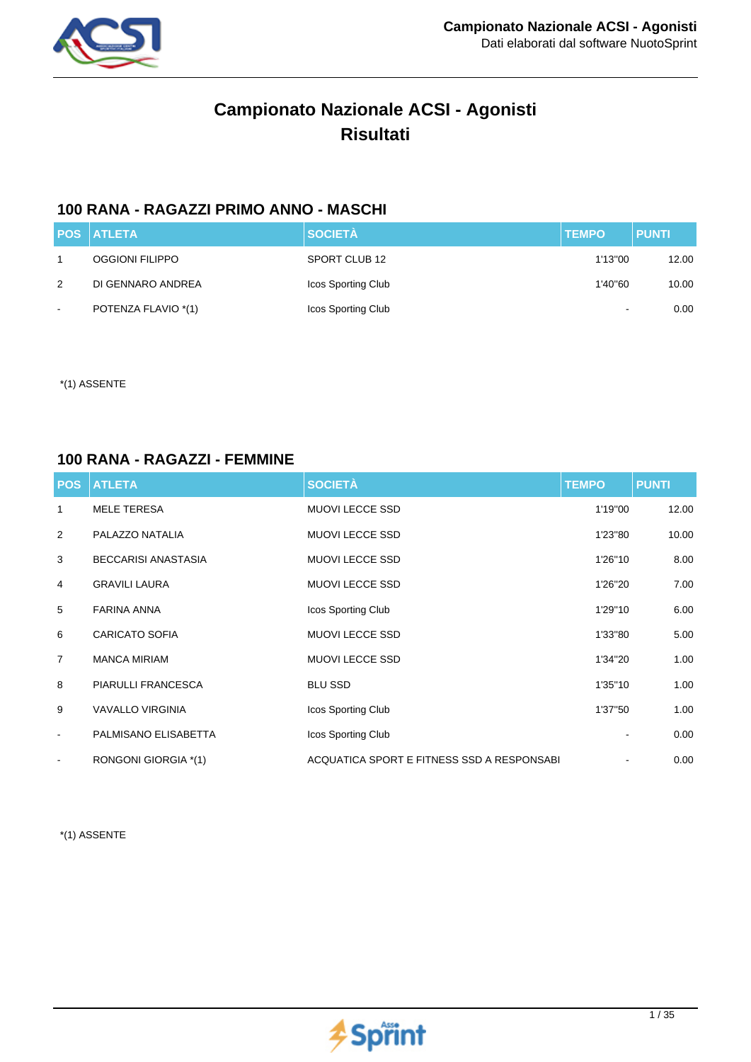

# **Campionato Nazionale ACSI - Agonisti Risultati**

## **100 RANA - RAGAZZI PRIMO ANNO - MASCHI**

|        | <b>POS ATLETA</b>   | <b>SOCIETÀ</b>     | <b>TEMPO</b>             | <b>PUNTI</b> |
|--------|---------------------|--------------------|--------------------------|--------------|
|        | OGGIONI FILIPPO     | SPORT CLUB 12      | 1'13"00                  | 12.00        |
| 2      | DI GENNARO ANDREA   | Icos Sporting Club | 1'40"60                  | 10.00        |
| $\sim$ | POTENZA FLAVIO *(1) | Icos Sporting Club | $\overline{\phantom{a}}$ | 0.00         |

\*(1) ASSENTE

#### **100 RANA - RAGAZZI - FEMMINE**

| <b>POS</b>     | <b>ATLETA</b>              | <b>SOCIETÀ</b>                              | <b>TEMPO</b> | <b>PUNTI</b> |
|----------------|----------------------------|---------------------------------------------|--------------|--------------|
| 1              | <b>MELE TERESA</b>         | <b>MUOVI LECCE SSD</b>                      | 1'19"00      | 12.00        |
| 2              | PALAZZO NATALIA            | <b>MUOVI LECCE SSD</b>                      | 1'23"80      | 10.00        |
| 3              | <b>BECCARISI ANASTASIA</b> | <b>MUOVI LECCE SSD</b>                      | 1'26"10      | 8.00         |
| 4              | <b>GRAVILI LAURA</b>       | <b>MUOVI LECCE SSD</b>                      | 1'26"20      | 7.00         |
| 5              | <b>FARINA ANNA</b>         | Icos Sporting Club                          | 1'29"10      | 6.00         |
| 6              | <b>CARICATO SOFIA</b>      | <b>MUOVI LECCE SSD</b>                      | 1'33"80      | 5.00         |
| $\overline{7}$ | <b>MANCA MIRIAM</b>        | <b>MUOVI LECCE SSD</b>                      | 1'34"20      | 1.00         |
| 8              | PIARULLI FRANCESCA         | <b>BLU SSD</b>                              | 1'35"10      | 1.00         |
| 9              | <b>VAVALLO VIRGINIA</b>    | Icos Sporting Club                          | 1'37"50      | 1.00         |
| $\blacksquare$ | PALMISANO ELISABETTA       | Icos Sporting Club                          |              | 0.00         |
|                | RONGONI GIORGIA *(1)       | ACQUATICA SPORT E FITNESS SSD A RESPONSABIL |              | 0.00         |

\*(1) ASSENTE

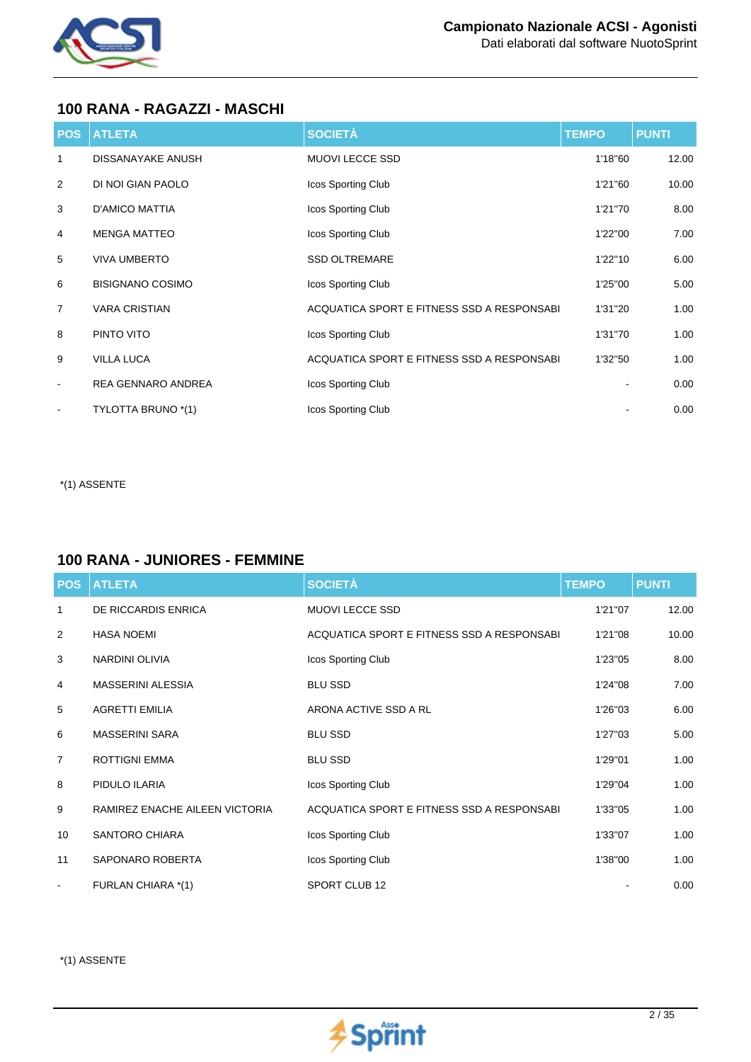

## **100 RANA - RAGAZZI - MASCHI**

| <b>POS</b>               | <b>ATLETA</b>             | <b>SOCIETÀ</b>                              | <b>TEMPO</b> | <b>PUNTI</b> |
|--------------------------|---------------------------|---------------------------------------------|--------------|--------------|
| 1                        | <b>DISSANAYAKE ANUSH</b>  | <b>MUOVI LECCE SSD</b>                      | 1'18"60      | 12.00        |
| 2                        | DI NOI GIAN PAOLO         | Icos Sporting Club                          | 1'21"60      | 10.00        |
| 3                        | <b>D'AMICO MATTIA</b>     | Icos Sporting Club                          | 1'21"70      | 8.00         |
| 4                        | <b>MENGA MATTEO</b>       | Icos Sporting Club                          | 1'22"00      | 7.00         |
| 5                        | <b>VIVA UMBERTO</b>       | <b>SSD OLTREMARE</b>                        | 1'22"10      | 6.00         |
| 6                        | <b>BISIGNANO COSIMO</b>   | Icos Sporting Club                          | 1'25"00      | 5.00         |
| $\overline{7}$           | <b>VARA CRISTIAN</b>      | ACQUATICA SPORT E FITNESS SSD A RESPONSABIL | 1'31"20      | 1.00         |
| 8                        | PINTO VITO                | Icos Sporting Club                          | 1'31"70      | 1.00         |
| 9                        | <b>VILLA LUCA</b>         | ACQUATICA SPORT E FITNESS SSD A RESPONSABI  | 1'32"50      | 1.00         |
| $\overline{\phantom{a}}$ | <b>REA GENNARO ANDREA</b> | Icos Sporting Club                          |              | 0.00         |
|                          | TYLOTTA BRUNO *(1)        | Icos Sporting Club                          |              | 0.00         |

\*(1) ASSENTE

#### **100 RANA - JUNIORES - FEMMINE**

| <b>POS</b>     | <b>ATLETA</b>                  | <b>SOCIETÀ</b>                              | <b>TEMPO</b> | <b>PUNTI</b> |
|----------------|--------------------------------|---------------------------------------------|--------------|--------------|
| 1              | DE RICCARDIS ENRICA            | <b>MUOVI LECCE SSD</b>                      | 1'21"07      | 12.00        |
| 2              | <b>HASA NOEMI</b>              | ACQUATICA SPORT E FITNESS SSD A RESPONSABIL | 1'21"08      | 10.00        |
| 3              | <b>NARDINI OLIVIA</b>          | Icos Sporting Club                          | 1'23"05      | 8.00         |
| 4              | <b>MASSERINI ALESSIA</b>       | <b>BLU SSD</b>                              | 1'24"08      | 7.00         |
| 5              | <b>AGRETTI EMILIA</b>          | ARONA ACTIVE SSD A RL                       | 1'26"03      | 6.00         |
| 6              | <b>MASSERINI SARA</b>          | <b>BLU SSD</b>                              | 1'27"03      | 5.00         |
| $\overline{7}$ | <b>ROTTIGNI EMMA</b>           | <b>BLU SSD</b>                              | 1'29"01      | 1.00         |
| 8              | PIDULO ILARIA                  | Icos Sporting Club                          | 1'29"04      | 1.00         |
| 9              | RAMIREZ ENACHE AILEEN VICTORIA | ACQUATICA SPORT E FITNESS SSD A RESPONSABIL | 1'33"05      | 1.00         |
| 10             | <b>SANTORO CHIARA</b>          | Icos Sporting Club                          | 1'33"07      | 1.00         |
| 11             | SAPONARO ROBERTA               | Icos Sporting Club                          | 1'38"00      | 1.00         |
| $\blacksquare$ | FURLAN CHIARA *(1)             | SPORT CLUB 12                               |              | 0.00         |

\*(1) ASSENTE

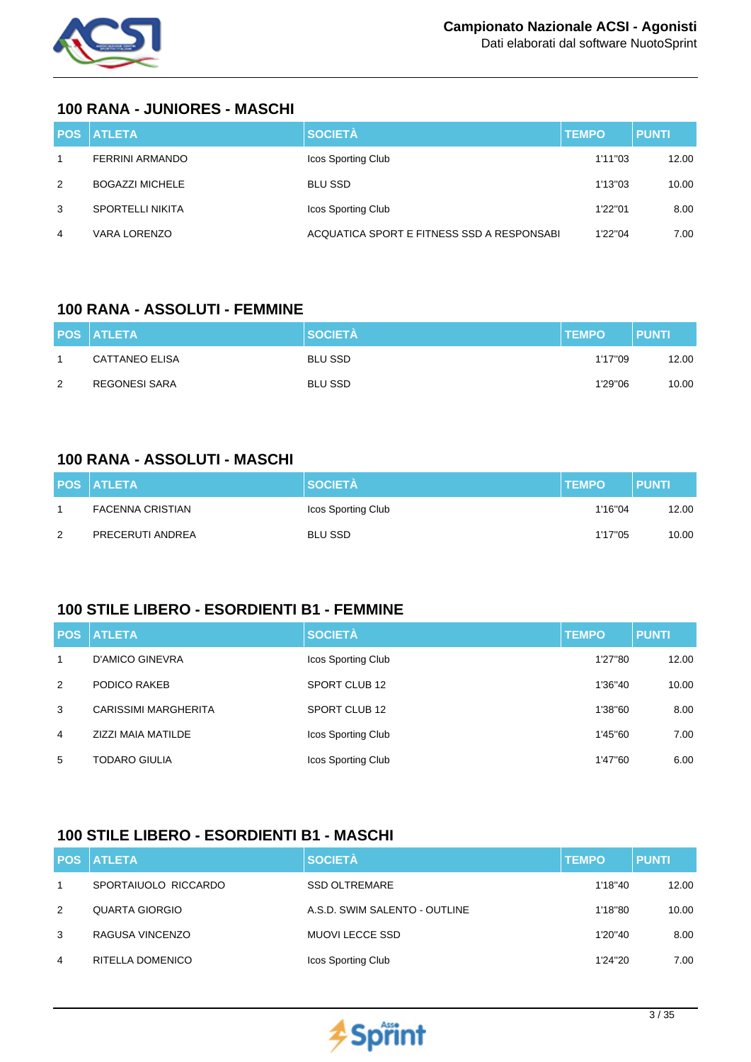

#### **100 RANA - JUNIORES - MASCHI**

|   | <b>POS ATLETA</b>       | <b>SOCIETÀ</b>                              | <b>TEMPO</b> | <b>PUNTI</b> |
|---|-------------------------|---------------------------------------------|--------------|--------------|
|   | <b>FERRINI ARMANDO</b>  | Icos Sporting Club                          | 1'11"03      | 12.00        |
| 2 | <b>BOGAZZI MICHELE</b>  | <b>BLU SSD</b>                              | 1'13"03      | 10.00        |
| 3 | <b>SPORTELLI NIKITA</b> | Icos Sporting Club                          | 1'22"01      | 8.00         |
| 4 | VARA LORENZO            | ACQUATICA SPORT E FITNESS SSD A RESPONSABIL | 1'22"04      | 7.00         |

#### **100 RANA - ASSOLUTI - FEMMINE**

|   | <b>POS ATLETA</b> | <b>SOCIETÀ</b> | <b>TEMPO</b> | <b>PUNTI</b> |
|---|-------------------|----------------|--------------|--------------|
|   | CATTANEO ELISA    | <b>BLU SSD</b> | 1'17"09      | 12.00        |
| 2 | REGONESI SARA     | <b>BLU SSD</b> | 1'29"06      | 10.00        |

### **100 RANA - ASSOLUTI - MASCHI**

|   | <b>POS ATLETA</b> | <b>SOCIETÀ</b>     | <b>TEMPO</b> | <b>PUNTI</b> |
|---|-------------------|--------------------|--------------|--------------|
|   | FACENNA CRISTIAN  | Icos Sporting Club | 1'16"04      | 12.00        |
| 2 | PRECERUTI ANDREA  | BLU SSD            | 1'17"05      | 10.00        |

#### **100 STILE LIBERO - ESORDIENTI B1 - FEMMINE**

|                | <b>POS ATLETA</b>           | <b>SOCIETÀ</b>     | <b>TEMPO</b> | <b>PUNTI</b> |
|----------------|-----------------------------|--------------------|--------------|--------------|
| $\mathbf{1}$   | D'AMICO GINEVRA             | Icos Sporting Club | 1'27"80      | 12.00        |
| 2              | PODICO RAKEB                | SPORT CLUB 12      | 1'36"40      | 10.00        |
| 3              | <b>CARISSIMI MARGHERITA</b> | SPORT CLUB 12      | 1'38"60      | 8.00         |
| $\overline{4}$ | ZIZZI MAIA MATILDE          | Icos Sporting Club | 1'45"60      | 7.00         |
| 5              | <b>TODARO GIULIA</b>        | Icos Sporting Club | 1'47"60      | 6.00         |

## **100 STILE LIBERO - ESORDIENTI B1 - MASCHI**

|   | <b>POS ATLETA</b>    | <b>SOCIETÀ</b>                | <b>TEMPO</b> | <b>PUNTI</b> |
|---|----------------------|-------------------------------|--------------|--------------|
|   | SPORTAIUOLO RICCARDO | <b>SSD OLTREMARE</b>          | 1'18"40      | 12.00        |
| 2 | QUARTA GIORGIO       | A.S.D. SWIM SALENTO - OUTLINE | 1'18"80      | 10.00        |
| 3 | RAGUSA VINCENZO      | <b>MUOVI LECCE SSD</b>        | 1'20"40      | 8.00         |
| 4 | RITELLA DOMENICO     | Icos Sporting Club            | 1'24"20      | 7.00         |

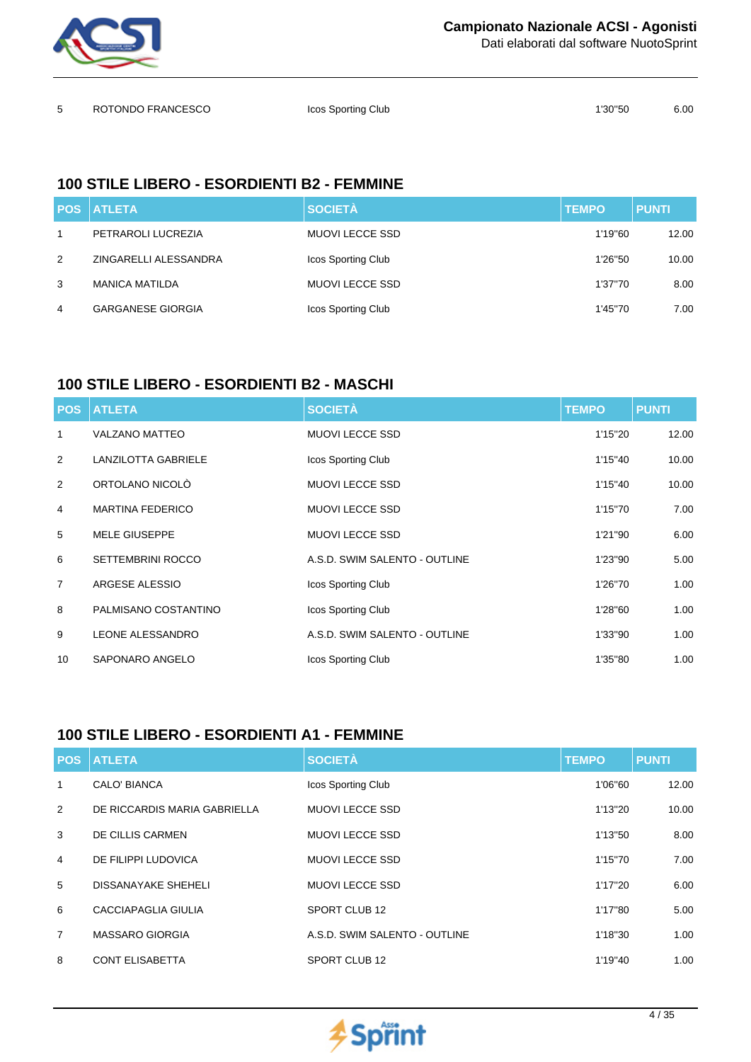

Dati elaborati dal software NuotoSprint

| ROTONDO FRANCESCO | Icos Sporting Club | 1'30"50 | 6.00 |
|-------------------|--------------------|---------|------|
|                   |                    |         |      |

# **100 STILE LIBERO - ESORDIENTI B2 - FEMMINE**

|   | <b>POS ATLETA</b>        | <b>SOCIETÀ</b>            | <b>TEMPO</b> | <b>PUNTI</b> |
|---|--------------------------|---------------------------|--------------|--------------|
|   | PETRAROLI LUCREZIA       | MUOVI LECCE SSD           | 1'19"60      | 12.00        |
| 2 | ZINGARELLI ALESSANDRA    | <b>Icos Sporting Club</b> | 1'26"50      | 10.00        |
| 3 | <b>MANICA MATILDA</b>    | <b>MUOVI LECCE SSD</b>    | 1'37"70      | 8.00         |
| 4 | <b>GARGANESE GIORGIA</b> | Icos Sporting Club        | 1'45"70      | 7.00         |

# **100 STILE LIBERO - ESORDIENTI B2 - MASCHI**

| <b>POS</b>     | <b>ATLETA</b>              | <b>SOCIETÀ</b>                | <b>TEMPO</b> | <b>PUNTI</b> |
|----------------|----------------------------|-------------------------------|--------------|--------------|
| 1              | <b>VALZANO MATTEO</b>      | <b>MUOVI LECCE SSD</b>        | 1'15"20      | 12.00        |
| 2              | <b>LANZILOTTA GABRIELE</b> | Icos Sporting Club            | 1'15"40      | 10.00        |
| 2              | ORTOLANO NICOLÒ            | <b>MUOVI LECCE SSD</b>        | 1'15"40      | 10.00        |
| 4              | <b>MARTINA FEDERICO</b>    | <b>MUOVI LECCE SSD</b>        | 1'15"70      | 7.00         |
| 5              | <b>MELE GIUSEPPE</b>       | <b>MUOVI LECCE SSD</b>        | 1'21"90      | 6.00         |
| 6              | <b>SETTEMBRINI ROCCO</b>   | A.S.D. SWIM SALENTO - OUTLINE | 1'23"90      | 5.00         |
| $\overline{7}$ | ARGESE ALESSIO             | Icos Sporting Club            | 1'26"70      | 1.00         |
| 8              | PALMISANO COSTANTINO       | Icos Sporting Club            | 1'28"60      | 1.00         |
| 9              | <b>LEONE ALESSANDRO</b>    | A.S.D. SWIM SALENTO - OUTLINE | 1'33"90      | 1.00         |
| 10             | SAPONARO ANGELO            | Icos Sporting Club            | 1'35"80      | 1.00         |

## **100 STILE LIBERO - ESORDIENTI A1 - FEMMINE**

| <b>POS</b>     | <b>ATLETA</b>                | <b>SOCIETÀ</b>                | <b>TEMPO</b> | <b>PUNTI</b> |
|----------------|------------------------------|-------------------------------|--------------|--------------|
| 1              | <b>CALO' BIANCA</b>          | Icos Sporting Club            | 1'06"60      | 12.00        |
| 2              | DE RICCARDIS MARIA GABRIELLA | <b>MUOVI LECCE SSD</b>        | 1'13"20      | 10.00        |
| 3              | DE CILLIS CARMEN             | <b>MUOVI LECCE SSD</b>        | 1'13"50      | 8.00         |
| $\overline{4}$ | DE FILIPPI LUDOVICA          | <b>MUOVI LECCE SSD</b>        | 1'15"70      | 7.00         |
| 5              | <b>DISSANAYAKE SHEHELI</b>   | <b>MUOVI LECCE SSD</b>        | 1'17"20      | 6.00         |
| 6              | CACCIAPAGLIA GIULIA          | SPORT CLUB 12                 | 1'17"80      | 5.00         |
| $\overline{7}$ | <b>MASSARO GIORGIA</b>       | A.S.D. SWIM SALENTO - OUTLINE | 1'18"30      | 1.00         |
| 8              | <b>CONT ELISABETTA</b>       | SPORT CLUB 12                 | 1'19"40      | 1.00         |

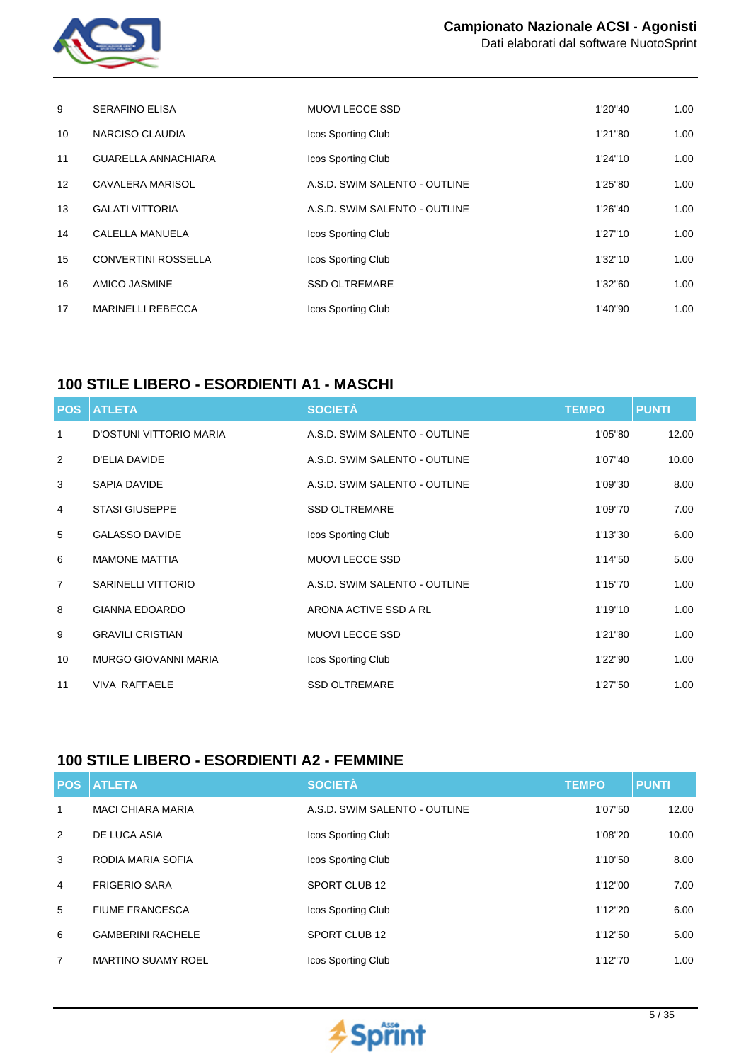

|  |  | <u> 2008 - Ann an Dùbhlachd ann an Dùbhlachd ann an Dùbhlachd ann an Dùbhlachd ann an Dùbhlachd ann an Dùbhlachd a</u> |
|--|--|------------------------------------------------------------------------------------------------------------------------|
|  |  |                                                                                                                        |

| 9                 | <b>SERAFINO ELISA</b>      | <b>MUOVI LECCE SSD</b>        | 1'20"40 | 1.00 |
|-------------------|----------------------------|-------------------------------|---------|------|
| 10 <sup>1</sup>   | NARCISO CLAUDIA            | Icos Sporting Club            | 1'21"80 | 1.00 |
| 11                | <b>GUARELLA ANNACHIARA</b> | Icos Sporting Club            | 1'24"10 | 1.00 |
| $12 \overline{ }$ | <b>CAVALERA MARISOL</b>    | A.S.D. SWIM SALENTO - OUTLINE | 1'25"80 | 1.00 |
| 13                | <b>GALATI VITTORIA</b>     | A.S.D. SWIM SALENTO - OUTLINE | 1'26"40 | 1.00 |
| 14                | CALELLA MANUELA            | <b>Icos Sporting Club</b>     | 1'27"10 | 1.00 |
| 15                | <b>CONVERTINI ROSSELLA</b> | Icos Sporting Club            | 1'32"10 | 1.00 |
| 16                | AMICO JASMINE              | <b>SSD OLTREMARE</b>          | 1'32"60 | 1.00 |
| 17                | <b>MARINELLI REBECCA</b>   | Icos Sporting Club            | 1'40"90 | 1.00 |

## **100 STILE LIBERO - ESORDIENTI A1 - MASCHI**

| <b>POS</b>     | <b>ATLETA</b>               | <b>SOCIETÀ</b>                | <b>TEMPO</b> | <b>PUNTI</b> |
|----------------|-----------------------------|-------------------------------|--------------|--------------|
| 1              | D'OSTUNI VITTORIO MARIA     | A.S.D. SWIM SALENTO - OUTLINE | 1'05"80      | 12.00        |
| 2              | <b>D'ELIA DAVIDE</b>        | A.S.D. SWIM SALENTO - OUTLINE | 1'07"40      | 10.00        |
| 3              | SAPIA DAVIDE                | A.S.D. SWIM SALENTO - OUTLINE | 1'09"30      | 8.00         |
| 4              | <b>STASI GIUSEPPE</b>       | <b>SSD OLTREMARE</b>          | 1'09"70      | 7.00         |
| 5              | <b>GALASSO DAVIDE</b>       | Icos Sporting Club            | 1'13"30      | 6.00         |
| 6              | <b>MAMONE MATTIA</b>        | <b>MUOVI LECCE SSD</b>        | 1'14"50      | 5.00         |
| $\overline{7}$ | <b>SARINELLI VITTORIO</b>   | A.S.D. SWIM SALENTO - OUTLINE | 1'15"70      | 1.00         |
| 8              | <b>GIANNA EDOARDO</b>       | ARONA ACTIVE SSD A RL         | 1'19"10      | 1.00         |
| 9              | <b>GRAVILI CRISTIAN</b>     | <b>MUOVI LECCE SSD</b>        | 1'21"80      | 1.00         |
| 10             | <b>MURGO GIOVANNI MARIA</b> | Icos Sporting Club            | 1'22"90      | 1.00         |
| 11             | <b>VIVA RAFFAELE</b>        | <b>SSD OLTREMARE</b>          | 1'27"50      | 1.00         |

## **100 STILE LIBERO - ESORDIENTI A2 - FEMMINE**

| <b>POS</b> | <b>ATLETA</b>             | <b>SOCIETÀ</b>                | <b>TEMPO</b> | <b>PUNTI</b> |
|------------|---------------------------|-------------------------------|--------------|--------------|
| 1          | <b>MACI CHIARA MARIA</b>  | A.S.D. SWIM SALENTO - OUTLINE | 1'07"50      | 12.00        |
| 2          | DE LUCA ASIA              | Icos Sporting Club            | 1'08"20      | 10.00        |
| 3          | RODIA MARIA SOFIA         | Icos Sporting Club            | 1'10"50      | 8.00         |
| 4          | <b>FRIGERIO SARA</b>      | SPORT CLUB 12                 | 1'12"00      | 7.00         |
| 5          | <b>FIUME FRANCESCA</b>    | Icos Sporting Club            | 1'12"20      | 6.00         |
| 6          | <b>GAMBERINI RACHELE</b>  | SPORT CLUB 12                 | 1'12"50      | 5.00         |
| 7          | <b>MARTINO SUAMY ROEL</b> | <b>Icos Sporting Club</b>     | 1'12"70      | 1.00         |

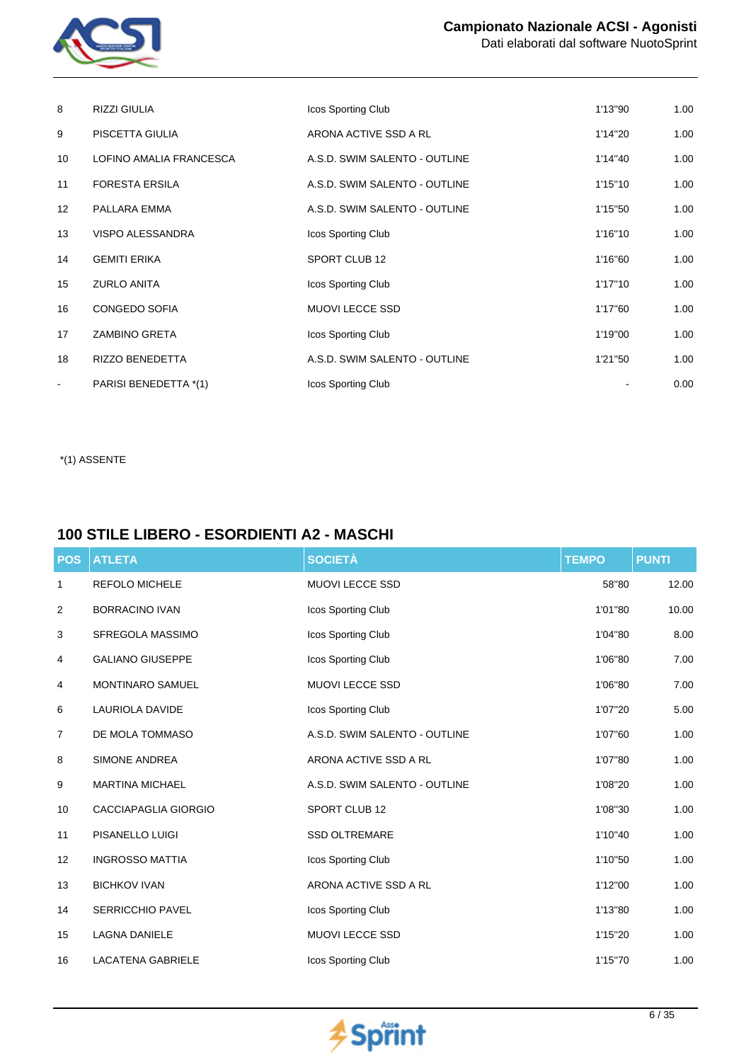

| 8               | <b>RIZZI GIULIA</b>     | Icos Sporting Club            | 1'13"90 | 1.00 |
|-----------------|-------------------------|-------------------------------|---------|------|
| 9               | PISCETTA GIULIA         | ARONA ACTIVE SSD A RL         | 1'14"20 | 1.00 |
| 10              | LOFINO AMALIA FRANCESCA | A.S.D. SWIM SALENTO - OUTLINE | 1'14"40 | 1.00 |
| 11              | <b>FORESTA ERSILA</b>   | A.S.D. SWIM SALENTO - OUTLINE | 1'15"10 | 1.00 |
| 12 <sup>°</sup> | PALLARA EMMA            | A.S.D. SWIM SALENTO - OUTLINE | 1'15"50 | 1.00 |
| 13              | <b>VISPO ALESSANDRA</b> | Icos Sporting Club            | 1'16"10 | 1.00 |
| 14              | <b>GEMITI ERIKA</b>     | SPORT CLUB 12                 | 1'16"60 | 1.00 |
| 15              | <b>ZURLO ANITA</b>      | Icos Sporting Club            | 1'17"10 | 1.00 |
| 16              | CONGEDO SOFIA           | <b>MUOVI LECCE SSD</b>        | 1'17"60 | 1.00 |
| 17              | <b>ZAMBINO GRETA</b>    | Icos Sporting Club            | 1'19"00 | 1.00 |
| 18              | <b>RIZZO BENEDETTA</b>  | A.S.D. SWIM SALENTO - OUTLINE | 1'21"50 | 1.00 |
| $\blacksquare$  | PARISI BENEDETTA *(1)   | Icos Sporting Club            |         | 0.00 |

\*(1) ASSENTE

# **100 STILE LIBERO - ESORDIENTI A2 - MASCHI**

| <b>POS</b> | <b>ATLETA</b>            | <b>SOCIETÀ</b>                | <b>TEMPO</b> | <b>PUNTI</b> |
|------------|--------------------------|-------------------------------|--------------|--------------|
| 1          | <b>REFOLO MICHELE</b>    | MUOVI LECCE SSD               | 58"80        | 12.00        |
| 2          | <b>BORRACINO IVAN</b>    | Icos Sporting Club            | 1'01"80      | 10.00        |
| 3          | SFREGOLA MASSIMO         | Icos Sporting Club            | 1'04"80      | 8.00         |
| 4          | <b>GALIANO GIUSEPPE</b>  | Icos Sporting Club            | 1'06"80      | 7.00         |
| 4          | MONTINARO SAMUEL         | <b>MUOVI LECCE SSD</b>        | 1'06"80      | 7.00         |
| 6          | <b>LAURIOLA DAVIDE</b>   | Icos Sporting Club            | 1'07"20      | 5.00         |
| 7          | DE MOLA TOMMASO          | A.S.D. SWIM SALENTO - OUTLINE | 1'07"60      | 1.00         |
| 8          | <b>SIMONE ANDREA</b>     | ARONA ACTIVE SSD A RL         | 1'07"80      | 1.00         |
| 9          | <b>MARTINA MICHAEL</b>   | A.S.D. SWIM SALENTO - OUTLINE | 1'08"20      | 1.00         |
| 10         | CACCIAPAGLIA GIORGIO     | SPORT CLUB 12                 | 1'08"30      | 1.00         |
| 11         | PISANELLO LUIGI          | <b>SSD OLTREMARE</b>          | 1'10"40      | 1.00         |
| 12         | <b>INGROSSO MATTIA</b>   | Icos Sporting Club            | 1'10"50      | 1.00         |
| 13         | <b>BICHKOV IVAN</b>      | ARONA ACTIVE SSD A RL         | 1'12"00      | 1.00         |
| 14         | <b>SERRICCHIO PAVEL</b>  | Icos Sporting Club            | 1'13"80      | 1.00         |
| 15         | <b>LAGNA DANIELE</b>     | MUOVI LECCE SSD               | 1'15"20      | 1.00         |
| 16         | <b>LACATENA GABRIELE</b> | Icos Sporting Club            | 1'15"70      | 1.00         |

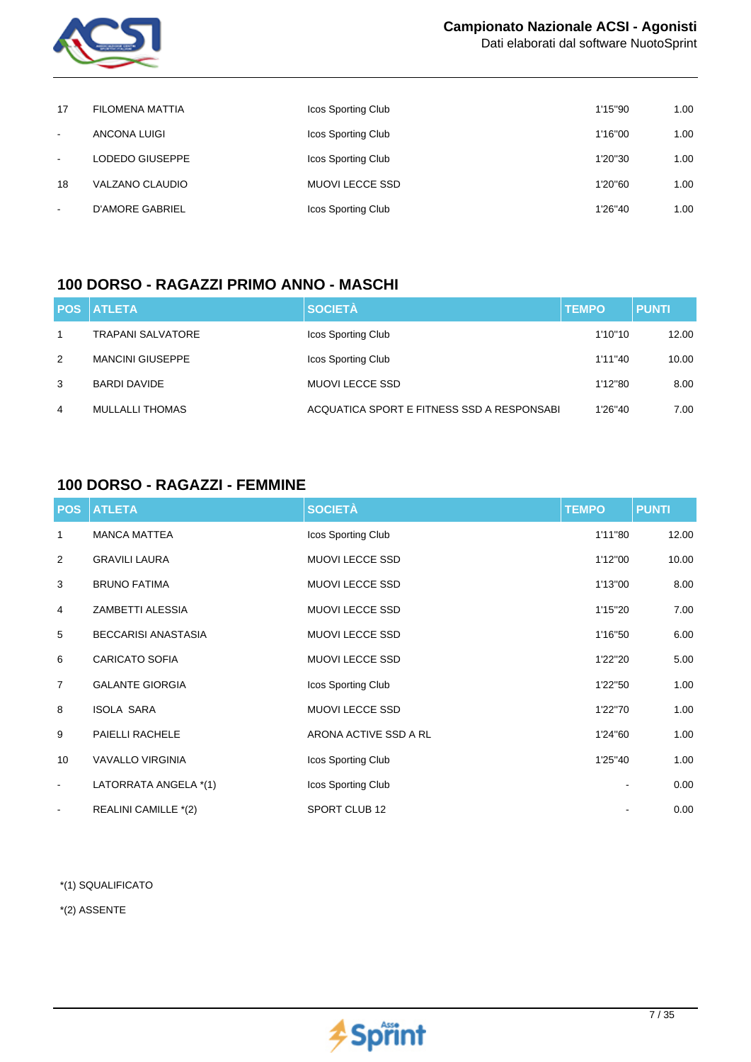

Dati elaborati dal software NuotoSprint

| 17             | FILOMENA MATTIA | <b>Icos Sporting Club</b> | 1'15"90 | 1.00 |
|----------------|-----------------|---------------------------|---------|------|
| $\blacksquare$ | ANCONA LUIGI    | <b>Icos Sporting Club</b> | 1'16"00 | 1.00 |
| $\blacksquare$ | LODEDO GIUSEPPE | <b>Icos Sporting Club</b> | 1'20"30 | 1.00 |
| 18             | VALZANO CLAUDIO | MUOVI LECCE SSD           | 1'20"60 | 1.00 |
| $\blacksquare$ | D'AMORE GABRIEL | Icos Sporting Club        | 1'26"40 | 1.00 |

## **100 DORSO - RAGAZZI PRIMO ANNO - MASCHI**

|   | <b>POS ATLETA</b>        | <b>SOCIETÀ</b>                             | <b>TEMPO</b> | <b>PUNTI</b> |
|---|--------------------------|--------------------------------------------|--------------|--------------|
|   | <b>TRAPANI SALVATORE</b> | Icos Sporting Club                         | 1'10"10      | 12.00        |
| 2 | <b>MANCINI GIUSEPPE</b>  | Icos Sporting Club                         | 1'11"40      | 10.00        |
| 3 | <b>BARDI DAVIDE</b>      | <b>MUOVI LECCE SSD</b>                     | 1'12"80      | 8.00         |
| 4 | <b>MULLALLI THOMAS</b>   | ACQUATICA SPORT E FITNESS SSD A RESPONSABI | 1'26"40      | 7.00         |

#### **100 DORSO - RAGAZZI - FEMMINE**

|                | <b>POS ATLETA</b>          | <b>SOCIETÀ</b>         | <b>TEMPO</b> | <b>PUNTI</b> |
|----------------|----------------------------|------------------------|--------------|--------------|
| 1              | <b>MANCA MATTEA</b>        | Icos Sporting Club     | 1'11"80      | 12.00        |
| $\overline{2}$ | <b>GRAVILI LAURA</b>       | <b>MUOVI LECCE SSD</b> | 1'12"00      | 10.00        |
| 3              | <b>BRUNO FATIMA</b>        | <b>MUOVI LECCE SSD</b> | 1'13"00      | 8.00         |
| 4              | ZAMBETTI ALESSIA           | <b>MUOVI LECCE SSD</b> | 1'15"20      | 7.00         |
| 5              | <b>BECCARISI ANASTASIA</b> | <b>MUOVI LECCE SSD</b> | 1'16"50      | 6.00         |
| 6              | <b>CARICATO SOFIA</b>      | MUOVI LECCE SSD        | 1'22"20      | 5.00         |
| $\overline{7}$ | <b>GALANTE GIORGIA</b>     | Icos Sporting Club     | 1'22"50      | 1.00         |
| 8              | <b>ISOLA SARA</b>          | MUOVI LECCE SSD        | 1'22"70      | 1.00         |
| 9              | PAIELLI RACHELE            | ARONA ACTIVE SSD A RL  | 1'24"60      | 1.00         |
| 10             | <b>VAVALLO VIRGINIA</b>    | Icos Sporting Club     | 1'25"40      | 1.00         |
| $\blacksquare$ | LATORRATA ANGELA *(1)      | Icos Sporting Club     |              | 0.00         |
| $\blacksquare$ | REALINI CAMILLE *(2)       | SPORT CLUB 12          |              | 0.00         |

\*(1) SQUALIFICATO

\*(2) ASSENTE

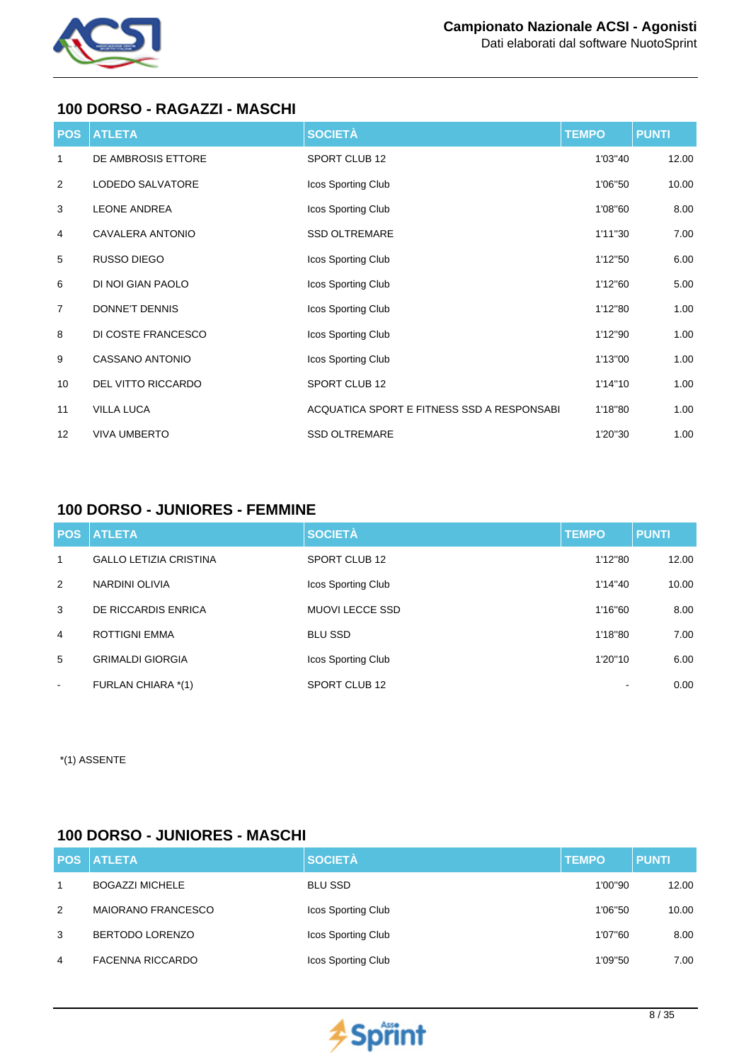

#### **100 DORSO - RAGAZZI - MASCHI**

| <b>POS</b>     | <b>ATLETA</b>             | <b>SOCIETÀ</b>                              | <b>TEMPO</b> | <b>PUNTI</b> |
|----------------|---------------------------|---------------------------------------------|--------------|--------------|
| 1              | DE AMBROSIS ETTORE        | SPORT CLUB 12                               | 1'03"40      | 12.00        |
| 2              | LODEDO SALVATORE          | Icos Sporting Club                          | 1'06"50      | 10.00        |
| 3              | <b>LEONE ANDREA</b>       | Icos Sporting Club                          | 1'08"60      | 8.00         |
| 4              | CAVALERA ANTONIO          | <b>SSD OLTREMARE</b>                        | 1'11"30      | 7.00         |
| 5              | RUSSO DIEGO               | Icos Sporting Club                          | 1'12"50      | 6.00         |
| 6              | DI NOI GIAN PAOLO         | Icos Sporting Club                          | 1'12"60      | 5.00         |
| $\overline{7}$ | DONNE'T DENNIS            | Icos Sporting Club                          | 1'12"80      | 1.00         |
| 8              | DI COSTE FRANCESCO        | Icos Sporting Club                          | 1'12"90      | 1.00         |
| 9              | CASSANO ANTONIO           | Icos Sporting Club                          | 1'13"00      | 1.00         |
| 10             | <b>DEL VITTO RICCARDO</b> | SPORT CLUB 12                               | 1'14"10      | 1.00         |
| 11             | <b>VILLA LUCA</b>         | ACQUATICA SPORT E FITNESS SSD A RESPONSABIL | 1'18"80      | 1.00         |
| 12             | <b>VIVA UMBERTO</b>       | <b>SSD OLTREMARE</b>                        | 1'20"30      | 1.00         |

# **100 DORSO - JUNIORES - FEMMINE**

|                | <b>POS ATLETA</b>             | <b>SOCIETÀ</b>         | <b>TEMPO</b> | <b>PUNTI</b> |
|----------------|-------------------------------|------------------------|--------------|--------------|
| 1              | <b>GALLO LETIZIA CRISTINA</b> | SPORT CLUB 12          | 1'12"80      | 12.00        |
| 2              | NARDINI OLIVIA                | Icos Sporting Club     | 1'14"40      | 10.00        |
| 3              | DE RICCARDIS ENRICA           | <b>MUOVI LECCE SSD</b> | 1'16"60      | 8.00         |
| $\overline{4}$ | <b>ROTTIGNI EMMA</b>          | <b>BLU SSD</b>         | 1'18"80      | 7.00         |
| 5              | <b>GRIMALDI GIORGIA</b>       | Icos Sporting Club     | 1'20"10      | 6.00         |
| $\sim$         | FURLAN CHIARA *(1)            | SPORT CLUB 12          |              | 0.00         |

\*(1) ASSENTE

#### **100 DORSO - JUNIORES - MASCHI**

|   | <b>POS ATLETA</b>         | <b>SOCIETÀ</b>     | <b>TEMPO</b> | <b>PUNTI</b> |
|---|---------------------------|--------------------|--------------|--------------|
| 1 | <b>BOGAZZI MICHELE</b>    | <b>BLU SSD</b>     | 1'00"90      | 12.00        |
| 2 | <b>MAIORANO FRANCESCO</b> | Icos Sporting Club | 1'06"50      | 10.00        |
| 3 | BERTODO LORENZO           | Icos Sporting Club | 1'07"60      | 8.00         |
| 4 | <b>FACENNA RICCARDO</b>   | Icos Sporting Club | 1'09"50      | 7.00         |

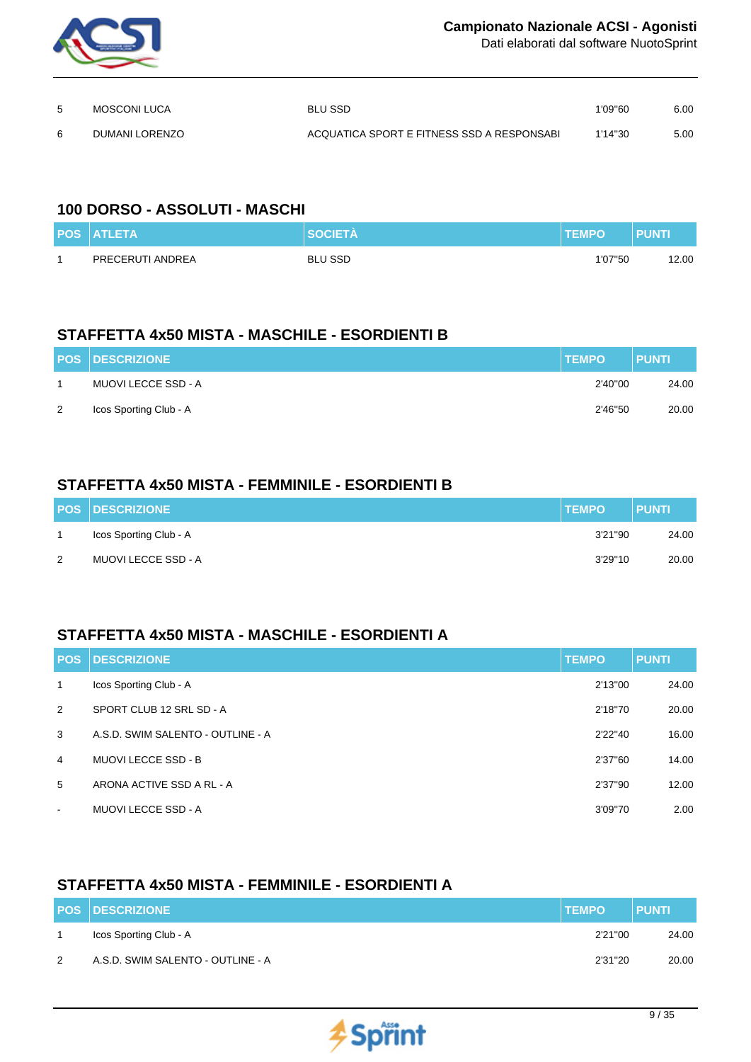

Dati elaborati dal software NuotoSprint

| 5 | MOSCONI LUCA   | <b>BLU SSD</b>                              | 1'09"60 | 6.00 |
|---|----------------|---------------------------------------------|---------|------|
| 6 | DUMANI LORENZO | ACQUATICA SPORT E FITNESS SSD A RESPONSABIL | 1'14"30 | 5.00 |

#### **100 DORSO - ASSOLUTI - MASCHI**

| <b>POS ATLETA</b> | <b>SOCIETÀ</b> | <b>ITEMPO</b> | PUNTI |
|-------------------|----------------|---------------|-------|
| PRECERUTI ANDREA  | <b>BLU SSD</b> | 1'07"50       | 2.00  |

## **STAFFETTA 4x50 MISTA - MASCHILE - ESORDIENTI B**

|   | <b>POS DESCRIZIONE</b> | <b>TEMPO</b> | <b>PUNTI</b> |
|---|------------------------|--------------|--------------|
|   | MUOVI LECCE SSD - A    | 2'40"00      | 24.00        |
| 2 | Icos Sporting Club - A | 2'46"50      | 20.00        |

## **STAFFETTA 4x50 MISTA - FEMMINILE - ESORDIENTI B**

|   | <b>POS DESCRIZIONE</b> | <b>TEMPO</b> | <b>PUNTI</b> |
|---|------------------------|--------------|--------------|
|   | Icos Sporting Club - A | 3'21"90      | 24.00        |
| 2 | MUOVI LECCE SSD - A    | 3'29"10      | 20.00        |

#### **STAFFETTA 4x50 MISTA - MASCHILE - ESORDIENTI A**

| <b>POS</b>     | <b>DESCRIZIONE</b>                | <b>TEMPO</b> | <b>PUNTI</b> |
|----------------|-----------------------------------|--------------|--------------|
| $\mathbf{1}$   | Icos Sporting Club - A            | 2'13"00      | 24.00        |
| 2              | SPORT CLUB 12 SRL SD - A          | 2'18"70      | 20.00        |
| 3              | A.S.D. SWIM SALENTO - OUTLINE - A | 2'22"40      | 16.00        |
| $\overline{4}$ | <b>MUOVI LECCE SSD - B</b>        | 2'37"60      | 14.00        |
| 5              | ARONA ACTIVE SSD A RL - A         | 2'37"90      | 12.00        |
| $\blacksquare$ | <b>MUOVI LECCE SSD - A</b>        | 3'09"70      | 2.00         |

## **STAFFETTA 4x50 MISTA - FEMMINILE - ESORDIENTI A**

|   | <b>POS DESCRIZIONE</b>            | <b>TEMPO</b> | <b>PUNTI</b> |
|---|-----------------------------------|--------------|--------------|
|   | Icos Sporting Club - A            | 2'21''00     | 24.00        |
| 2 | A.S.D. SWIM SALENTO - OUTLINE - A | 2'31"20      | 20.00        |

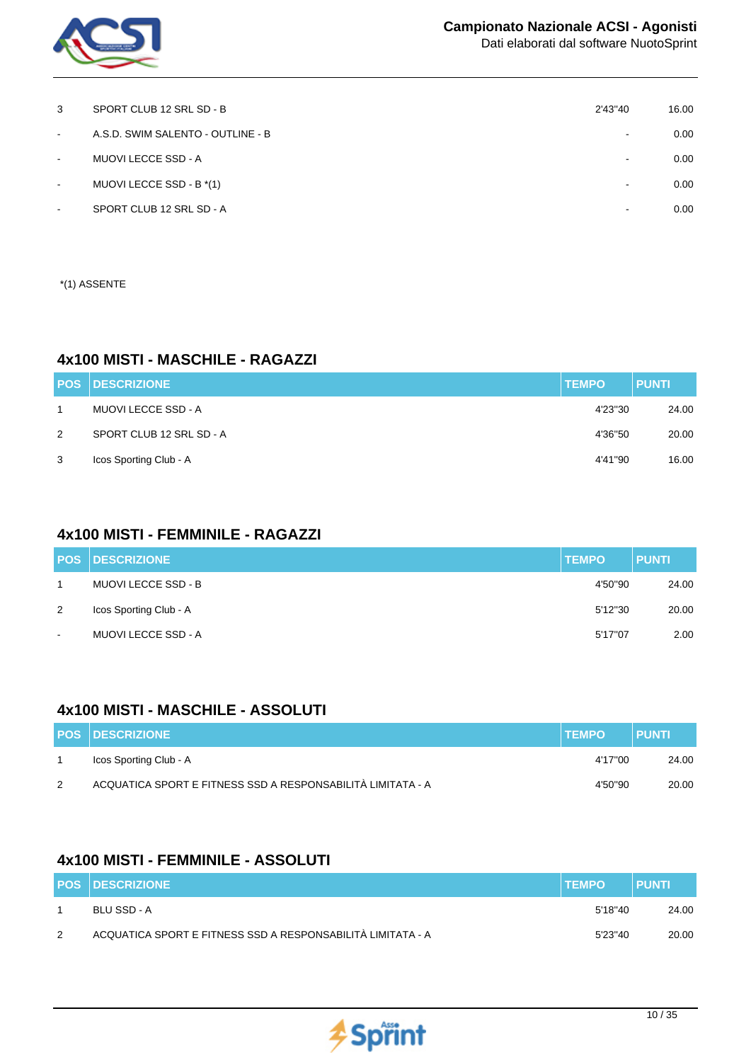

| 3      | SPORT CLUB 12 SRL SD - B          | 2'43"40                  | 16.00 |
|--------|-----------------------------------|--------------------------|-------|
| $\sim$ | A.S.D. SWIM SALENTO - OUTLINE - B | $\overline{\phantom{a}}$ | 0.00  |
| $\sim$ | MUOVI LECCE SSD - A               | ۰.                       | 0.00  |
| $\sim$ | MUOVI LECCE SSD - B *(1)          | $\overline{\phantom{a}}$ | 0.00  |
| ٠      | SPORT CLUB 12 SRL SD - A          | -                        | 0.00  |
|        |                                   |                          |       |

\*(1) ASSENTE

#### **4x100 MISTI - MASCHILE - RAGAZZI**

|   | <b>POS DESCRIZIONE</b>   | <b>TEMPO</b> | <b>PUNTI</b> |
|---|--------------------------|--------------|--------------|
|   | MUOVI LECCE SSD - A      | 4'23"30      | 24.00        |
| 2 | SPORT CLUB 12 SRL SD - A | 4'36"50      | 20.00        |
| 3 | Icos Sporting Club - A   | 4'41"90      | 16.00        |

### **4x100 MISTI - FEMMINILE - RAGAZZI**

|                | <b>POS DESCRIZIONE</b> | <b>TEMPO</b> | <b>PUNTI</b> |
|----------------|------------------------|--------------|--------------|
|                | MUOVI LECCE SSD - B    | 4'50"90      | 24.00        |
| 2              | Icos Sporting Club - A | 5'12"30      | 20.00        |
| $\blacksquare$ | MUOVI LECCE SSD - A    | 5'17"07      | 2.00         |

#### **4x100 MISTI - MASCHILE - ASSOLUTI**

|   | <b>POS DESCRIZIONE</b>                                      | <b>ITEMPO</b> | <b>PUNTI</b> |
|---|-------------------------------------------------------------|---------------|--------------|
|   | Icos Sporting Club - A                                      | 4'17"00       | 24.00        |
| 2 | ACQUATICA SPORT E FITNESS SSD A RESPONSABILITÀ LIMITATA - A | 4'50"90       | 20.00        |

## **4x100 MISTI - FEMMINILE - ASSOLUTI**

|   | <b>POS DESCRIZIONE</b>                                      | <b>TEMPO</b> | <b>PUNTI</b> |
|---|-------------------------------------------------------------|--------------|--------------|
|   | BLU SSD - A                                                 | 5'18"40      | 24.00        |
| 2 | ACQUATICA SPORT E FITNESS SSD A RESPONSABILITÀ LIMITATA - A | 5'23"40      | 20.00        |

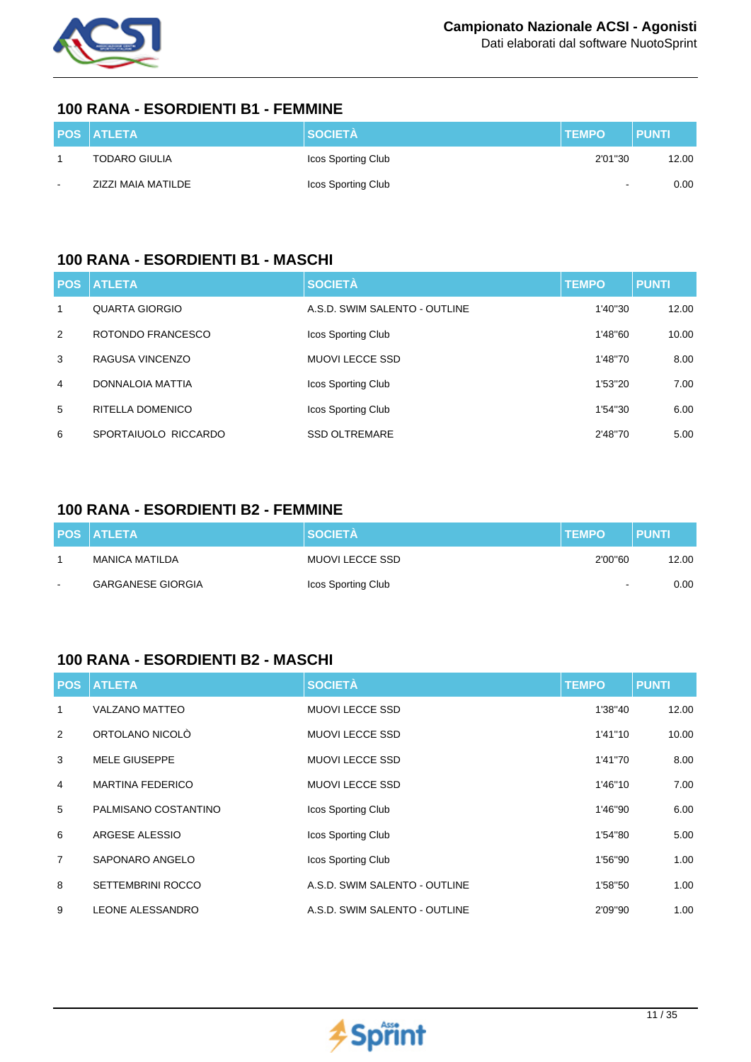

#### **100 RANA - ESORDIENTI B1 - FEMMINE**

|        | <b>POS ATLETA</b>    | <b>SOCIETÀ</b>     | <b>TEMPO</b> | <b>PUNTI</b> |
|--------|----------------------|--------------------|--------------|--------------|
|        | <b>TODARO GIULIA</b> | Icos Sporting Club | 2'01"30      | 12.00        |
| $\sim$ | ZIZZI MAIA MATILDE   | Icos Sporting Club | $\sim$       | 0.00         |

## **100 RANA - ESORDIENTI B1 - MASCHI**

| <b>POS</b> | <b>ATLETA</b>        | <b>SOCIETÀ</b>                | <b>TEMPO</b> | <b>PUNTI</b> |
|------------|----------------------|-------------------------------|--------------|--------------|
| 1          | QUARTA GIORGIO       | A.S.D. SWIM SALENTO - OUTLINE | 1'40"30      | 12.00        |
| 2          | ROTONDO FRANCESCO    | Icos Sporting Club            | 1'48"60      | 10.00        |
| 3          | RAGUSA VINCENZO      | <b>MUOVI LECCE SSD</b>        | 1'48"70      | 8.00         |
| 4          | DONNALOIA MATTIA     | Icos Sporting Club            | 1'53"20      | 7.00         |
| 5          | RITELLA DOMENICO     | Icos Sporting Club            | 1'54"30      | 6.00         |
| 6          | SPORTAIUOLO RICCARDO | <b>SSD OLTREMARE</b>          | 2'48"70      | 5.00         |

## **100 RANA - ESORDIENTI B2 - FEMMINE**

|        | <b>POS ATLETA</b>        | <b>SOCIETÀ</b>     | <b>TEMPO</b>             | <b>PUNTI</b> |
|--------|--------------------------|--------------------|--------------------------|--------------|
|        | MANICA MATILDA           | MUOVI LECCE SSD    | 2'00"60                  | 12.00        |
| $\sim$ | <b>GARGANESE GIORGIA</b> | Icos Sporting Club | $\overline{\phantom{a}}$ | 0.00         |

## **100 RANA - ESORDIENTI B2 - MASCHI**

| <b>POS</b>     | <b>ATLETA</b>            | <b>SOCIETÀ</b>                | <b>TEMPO</b> | <b>PUNTI</b> |
|----------------|--------------------------|-------------------------------|--------------|--------------|
| 1              | <b>VALZANO MATTEO</b>    | <b>MUOVI LECCE SSD</b>        | 1'38"40      | 12.00        |
| 2              | ORTOLANO NICOLÒ          | <b>MUOVI LECCE SSD</b>        | 1'41"10      | 10.00        |
| 3              | <b>MELE GIUSEPPE</b>     | <b>MUOVI LECCE SSD</b>        | 1'41"70      | 8.00         |
| 4              | <b>MARTINA FEDERICO</b>  | <b>MUOVI LECCE SSD</b>        | 1'46"10      | 7.00         |
| 5              | PALMISANO COSTANTINO     | Icos Sporting Club            | 1'46"90      | 6.00         |
| 6              | ARGESE ALESSIO           | Icos Sporting Club            | 1'54"80      | 5.00         |
| $\overline{7}$ | SAPONARO ANGELO          | Icos Sporting Club            | 1'56"90      | 1.00         |
| 8              | <b>SETTEMBRINI ROCCO</b> | A.S.D. SWIM SALENTO - OUTLINE | 1'58"50      | 1.00         |
| 9              | LEONE ALESSANDRO         | A.S.D. SWIM SALENTO - OUTLINE | 2'09"90      | 1.00         |

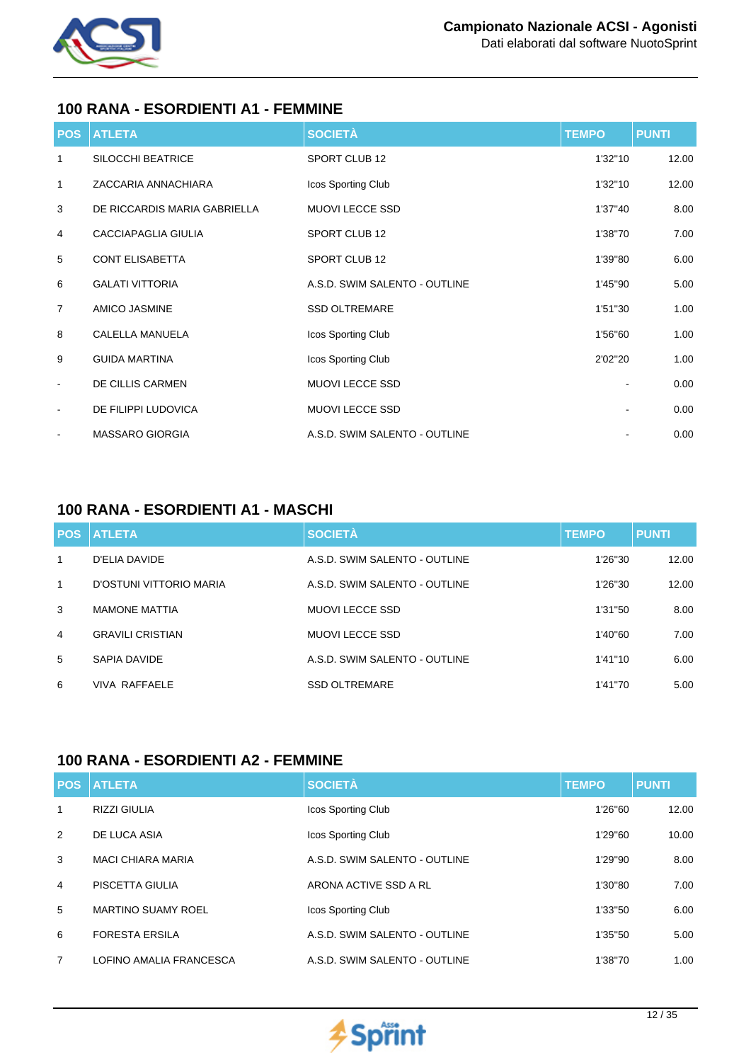

#### **100 RANA - ESORDIENTI A1 - FEMMINE**

| <b>POS</b>               | <b>ATLETA</b>                | <b>SOCIETÀ</b>                | <b>TEMPO</b> | <b>PUNTI</b> |
|--------------------------|------------------------------|-------------------------------|--------------|--------------|
| 1                        | SILOCCHI BEATRICE            | SPORT CLUB 12                 | 1'32"10      | 12.00        |
| $\mathbf{1}$             | ZACCARIA ANNACHIARA          | Icos Sporting Club            | 1'32"10      | 12.00        |
| 3                        | DE RICCARDIS MARIA GABRIELLA | <b>MUOVI LECCE SSD</b>        | 1'37"40      | 8.00         |
| $\overline{4}$           | CACCIAPAGLIA GIULIA          | SPORT CLUB 12                 | 1'38"70      | 7.00         |
| 5                        | <b>CONT ELISABETTA</b>       | SPORT CLUB 12                 | 1'39"80      | 6.00         |
| 6                        | <b>GALATI VITTORIA</b>       | A.S.D. SWIM SALENTO - OUTLINE | 1'45"90      | 5.00         |
| $\overline{7}$           | AMICO JASMINE                | <b>SSD OLTREMARE</b>          | 1'51"30      | 1.00         |
| 8                        | CALELLA MANUELA              | Icos Sporting Club            | 1'56"60      | 1.00         |
| 9                        | <b>GUIDA MARTINA</b>         | Icos Sporting Club            | 2'02"20      | 1.00         |
| $\blacksquare$           | DE CILLIS CARMEN             | MUOVI LECCE SSD               |              | 0.00         |
| $\blacksquare$           | DE FILIPPI LUDOVICA          | MUOVI LECCE SSD               |              | 0.00         |
| $\overline{\phantom{a}}$ | <b>MASSARO GIORGIA</b>       | A.S.D. SWIM SALENTO - OUTLINE |              | 0.00         |

## **100 RANA - ESORDIENTI A1 - MASCHI**

|                | <b>POS ATLETA</b>       | <b>SOCIETÀ</b>                | <b>TEMPO</b> | <b>PUNTI</b> |
|----------------|-------------------------|-------------------------------|--------------|--------------|
| 1              | D'ELIA DAVIDE           | A.S.D. SWIM SALENTO - OUTLINE | 1'26"30      | 12.00        |
| $\mathbf{1}$   | D'OSTUNI VITTORIO MARIA | A.S.D. SWIM SALENTO - OUTLINE | 1'26"30      | 12.00        |
| 3              | <b>MAMONE MATTIA</b>    | MUOVI LECCE SSD               | 1'31"50      | 8.00         |
| $\overline{4}$ | <b>GRAVILI CRISTIAN</b> | MUOVI LECCE SSD               | 1'40"60      | 7.00         |
| 5              | SAPIA DAVIDE            | A.S.D. SWIM SALENTO - OUTLINE | 1'41"10      | 6.00         |
| 6              | VIVA RAFFAFI F          | <b>SSD OLTREMARE</b>          | 1'41"70      | 5.00         |

#### **100 RANA - ESORDIENTI A2 - FEMMINE**

|                | <b>POS ATLETA</b>         | <b>SOCIETÀ</b>                | <b>TEMPO</b> | <b>PUNTI</b> |
|----------------|---------------------------|-------------------------------|--------------|--------------|
| 1              | <b>RIZZI GIULIA</b>       | Icos Sporting Club            | 1'26"60      | 12.00        |
| 2              | DE LUCA ASIA              | Icos Sporting Club            | 1'29"60      | 10.00        |
| 3              | <b>MACI CHIARA MARIA</b>  | A.S.D. SWIM SALENTO - OUTLINE | 1'29"90      | 8.00         |
| $\overline{4}$ | PISCETTA GIULIA           | ARONA ACTIVE SSD A RL         | 1'30"80      | 7.00         |
| 5              | <b>MARTINO SUAMY ROEL</b> | Icos Sporting Club            | 1'33"50      | 6.00         |
| 6              | <b>FORESTA ERSILA</b>     | A.S.D. SWIM SALENTO - OUTLINE | 1'35"50      | 5.00         |
| 7              | LOFINO AMALIA FRANCESCA   | A.S.D. SWIM SALENTO - OUTLINE | 1'38"70      | 1.00         |

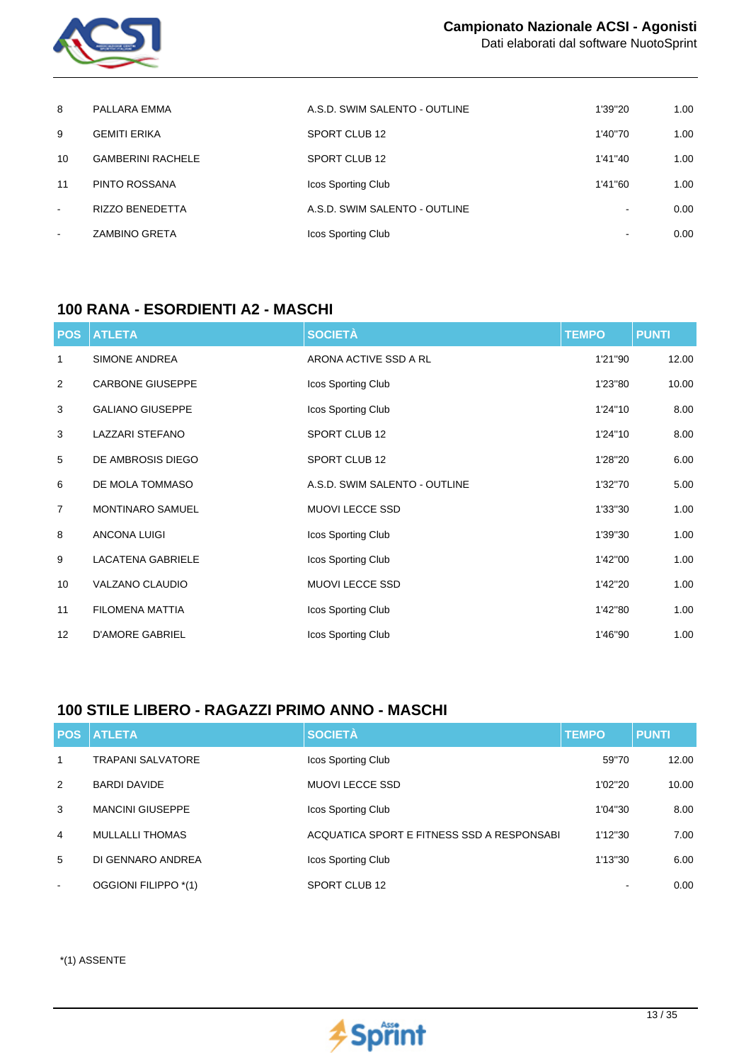

| 8      | PALLARA EMMA             | A.S.D. SWIM SALENTO - OUTLINE | 1'39"20 | 1.00 |
|--------|--------------------------|-------------------------------|---------|------|
| 9      | <b>GEMITI ERIKA</b>      | SPORT CLUB 12                 | 1'40"70 | 1.00 |
| 10     | <b>GAMBERINI RACHELE</b> | SPORT CLUB 12                 | 1'41"40 | 1.00 |
| 11     | PINTO ROSSANA            | <b>Icos Sporting Club</b>     | 1'41"60 | 1.00 |
| $\sim$ | <b>RIZZO BENEDETTA</b>   | A.S.D. SWIM SALENTO - OUTLINE | $\sim$  | 0.00 |
| $\sim$ | <b>ZAMBINO GRETA</b>     | Icos Sporting Club            |         | 0.00 |

#### **100 RANA - ESORDIENTI A2 - MASCHI**

| <b>POS</b>     | <b>ATLETA</b>            | <b>SOCIETÀ</b>                | <b>TEMPO</b> | <b>PUNTI</b> |
|----------------|--------------------------|-------------------------------|--------------|--------------|
| 1              | <b>SIMONE ANDREA</b>     | ARONA ACTIVE SSD A RL         | 1'21"90      | 12.00        |
| 2              | <b>CARBONE GIUSEPPE</b>  | Icos Sporting Club            | 1'23"80      | 10.00        |
| 3              | <b>GALIANO GIUSEPPE</b>  | Icos Sporting Club            | 1'24"10      | 8.00         |
| 3              | <b>LAZZARI STEFANO</b>   | SPORT CLUB 12                 | 1'24"10      | 8.00         |
| 5              | DE AMBROSIS DIEGO        | SPORT CLUB 12                 | 1'28"20      | 6.00         |
| 6              | DE MOLA TOMMASO          | A.S.D. SWIM SALENTO - OUTLINE | 1'32"70      | 5.00         |
| $\overline{7}$ | MONTINARO SAMUEL         | <b>MUOVI LECCE SSD</b>        | 1'33"30      | 1.00         |
| 8              | <b>ANCONA LUIGI</b>      | Icos Sporting Club            | 1'39"30      | 1.00         |
| 9              | <b>LACATENA GABRIELE</b> | Icos Sporting Club            | 1'42"00      | 1.00         |
| 10             | VALZANO CLAUDIO          | <b>MUOVI LECCE SSD</b>        | 1'42"20      | 1.00         |
| 11             | <b>FILOMENA MATTIA</b>   | Icos Sporting Club            | 1'42"80      | 1.00         |
| 12             | <b>D'AMORE GABRIEL</b>   | Icos Sporting Club            | 1'46"90      | 1.00         |

## **100 STILE LIBERO - RAGAZZI PRIMO ANNO - MASCHI**

| <b>POS</b>     | <b>ATLETA</b>            | <b>SOCIETÀ</b>                             | <b>TEMPO</b> | <b>PUNTI</b> |
|----------------|--------------------------|--------------------------------------------|--------------|--------------|
| 1              | <b>TRAPANI SALVATORE</b> | Icos Sporting Club                         | 59"70        | 12.00        |
| 2              | <b>BARDI DAVIDE</b>      | MUOVI LECCE SSD                            | 1'02"20      | 10.00        |
| 3              | <b>MANCINI GIUSEPPE</b>  | Icos Sporting Club                         | 1'04"30      | 8.00         |
| $\overline{4}$ | <b>MULLALLI THOMAS</b>   | ACQUATICA SPORT E FITNESS SSD A RESPONSABI | 1'12"30      | 7.00         |
| 5              | DI GENNARO ANDREA        | Icos Sporting Club                         | 1'13"30      | 6.00         |
| $\sim$         | OGGIONI FILIPPO *(1)     | SPORT CLUB 12                              |              | 0.00         |

\*(1) ASSENTE

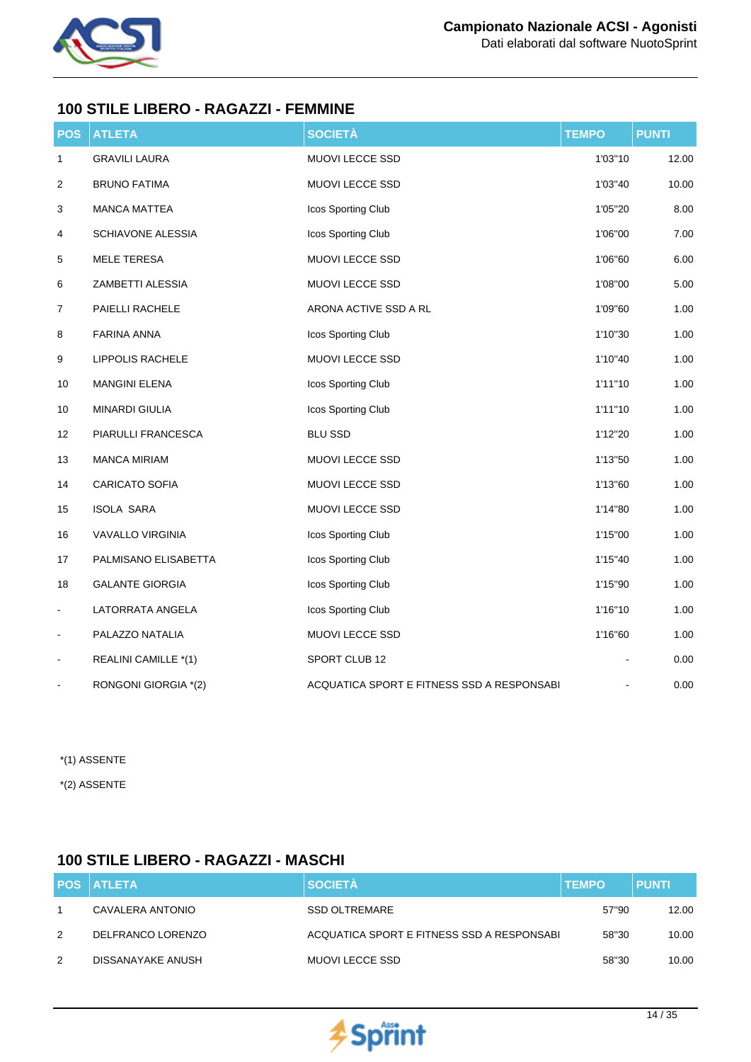

## **100 STILE LIBERO - RAGAZZI - FEMMINE**

| <b>POS</b>                   | <b>ATLETA</b>           | <b>SOCIETÀ</b>                             | <b>TEMPO</b> | <b>PUNTI</b> |
|------------------------------|-------------------------|--------------------------------------------|--------------|--------------|
| $\mathbf{1}$                 | <b>GRAVILI LAURA</b>    | MUOVI LECCE SSD                            | 1'03"10      | 12.00        |
| 2                            | <b>BRUNO FATIMA</b>     | MUOVI LECCE SSD                            | 1'03"40      | 10.00        |
| 3                            | <b>MANCA MATTEA</b>     | Icos Sporting Club                         | 1'05"20      | 8.00         |
| 4                            | SCHIAVONE ALESSIA       | Icos Sporting Club                         | 1'06"00      | 7.00         |
| 5                            | <b>MELE TERESA</b>      | MUOVI LECCE SSD                            | 1'06"60      | 6.00         |
| 6                            | ZAMBETTI ALESSIA        | MUOVI LECCE SSD                            | 1'08"00      | 5.00         |
| 7                            | PAIELLI RACHELE         | ARONA ACTIVE SSD A RL                      | 1'09"60      | 1.00         |
| 8                            | <b>FARINA ANNA</b>      | Icos Sporting Club                         | 1'10"30      | 1.00         |
| 9                            | LIPPOLIS RACHELE        | MUOVI LECCE SSD                            | 1'10"40      | 1.00         |
| 10                           | <b>MANGINI ELENA</b>    | Icos Sporting Club                         | 1'11"10      | 1.00         |
| $10\,$                       | MINARDI GIULIA          | Icos Sporting Club                         | 1'11"10      | 1.00         |
| 12                           | PIARULLI FRANCESCA      | <b>BLU SSD</b>                             | 1'12"20      | 1.00         |
| 13                           | <b>MANCA MIRIAM</b>     | MUOVI LECCE SSD                            | 1'13"50      | 1.00         |
| 14                           | <b>CARICATO SOFIA</b>   | MUOVI LECCE SSD                            | 1'13"60      | 1.00         |
| 15                           | <b>ISOLA SARA</b>       | MUOVI LECCE SSD                            | 1'14"80      | 1.00         |
| 16                           | <b>VAVALLO VIRGINIA</b> | Icos Sporting Club                         | 1'15"00      | 1.00         |
| 17                           | PALMISANO ELISABETTA    | Icos Sporting Club                         | 1'15"40      | 1.00         |
| 18                           | <b>GALANTE GIORGIA</b>  | Icos Sporting Club                         | 1'15"90      | 1.00         |
| $\qquad \qquad \blacksquare$ | LATORRATA ANGELA        | Icos Sporting Club                         | 1'16"10      | 1.00         |
| $\blacksquare$               | PALAZZO NATALIA         | MUOVI LECCE SSD                            | 1'16"60      | 1.00         |
| $\blacksquare$               | REALINI CAMILLE *(1)    | SPORT CLUB 12                              |              | 0.00         |
|                              | RONGONI GIORGIA *(2)    | ACQUATICA SPORT E FITNESS SSD A RESPONSABI |              | 0.00         |

\*(1) ASSENTE

\*(2) ASSENTE

# **100 STILE LIBERO - RAGAZZI - MASCHI**

|   | <b>POS ATLETA</b> | <b>SOCIETÀ</b>                             | <b>TEMPO</b> | <b>PUNTI</b> |
|---|-------------------|--------------------------------------------|--------------|--------------|
|   | CAVALERA ANTONIO  | <b>SSD OLTREMARE</b>                       | 57"90        | 12.00        |
| 2 | DELFRANCO LORENZO | ACQUATICA SPORT E FITNESS SSD A RESPONSABI | 58"30        | 10.00        |
| 2 | DISSANAYAKE ANUSH | MUOVI LECCE SSD                            | 58"30        | 10.00        |

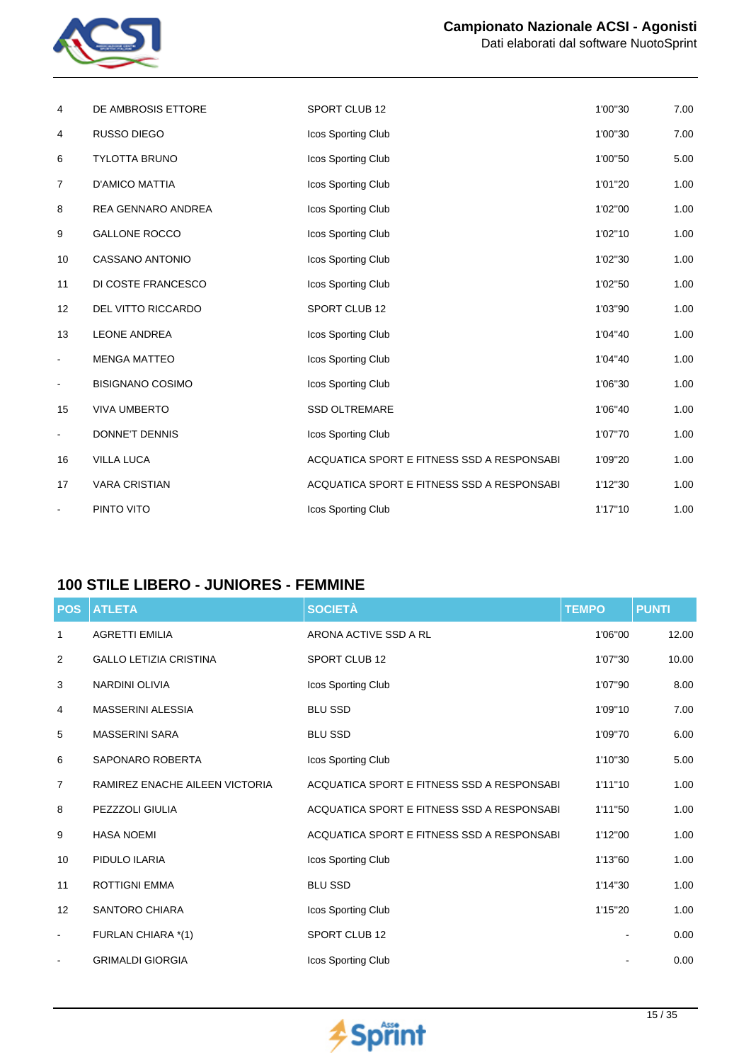

| 4                 | DE AMBROSIS ETTORE      | SPORT CLUB 12                               | 1'00"30 | 7.00 |
|-------------------|-------------------------|---------------------------------------------|---------|------|
| 4                 | RUSSO DIEGO             | Icos Sporting Club                          | 1'00"30 | 7.00 |
| 6                 | <b>TYLOTTA BRUNO</b>    | Icos Sporting Club                          | 1'00"50 | 5.00 |
| 7                 | <b>D'AMICO MATTIA</b>   | Icos Sporting Club                          | 1'01"20 | 1.00 |
| 8                 | REA GENNARO ANDREA      | Icos Sporting Club                          | 1'02"00 | 1.00 |
| 9                 | <b>GALLONE ROCCO</b>    | Icos Sporting Club                          | 1'02"10 | 1.00 |
| 10                | <b>CASSANO ANTONIO</b>  | Icos Sporting Club                          | 1'02"30 | 1.00 |
| 11                | DI COSTE FRANCESCO      | Icos Sporting Club                          | 1'02"50 | 1.00 |
| $12 \overline{ }$ | DEL VITTO RICCARDO      | SPORT CLUB 12                               | 1'03"90 | 1.00 |
| 13                | <b>LEONE ANDREA</b>     | Icos Sporting Club                          | 1'04"40 | 1.00 |
| $\blacksquare$    | <b>MENGA MATTEO</b>     | Icos Sporting Club                          | 1'04"40 | 1.00 |
| $\blacksquare$    | <b>BISIGNANO COSIMO</b> | Icos Sporting Club                          | 1'06"30 | 1.00 |
| 15                | <b>VIVA UMBERTO</b>     | <b>SSD OLTREMARE</b>                        | 1'06"40 | 1.00 |
| $\blacksquare$    | <b>DONNE'T DENNIS</b>   | Icos Sporting Club                          | 1'07"70 | 1.00 |
| 16                | <b>VILLA LUCA</b>       | ACQUATICA SPORT E FITNESS SSD A RESPONSABIL | 1'09"20 | 1.00 |
| 17                | <b>VARA CRISTIAN</b>    | ACQUATICA SPORT E FITNESS SSD A RESPONSABI  | 1'12"30 | 1.00 |
|                   | PINTO VITO              | Icos Sporting Club                          | 1'17"10 | 1.00 |
|                   |                         |                                             |         |      |

# **100 STILE LIBERO - JUNIORES - FEMMINE**

| <b>POS</b>     | <b>ATLETA</b>                  | <b>SOCIETÀ</b>                             | <b>TEMPO</b> | <b>PUNTI</b> |
|----------------|--------------------------------|--------------------------------------------|--------------|--------------|
| 1              | <b>AGRETTI EMILIA</b>          | ARONA ACTIVE SSD A RL                      | 1'06"00      | 12.00        |
| 2              | <b>GALLO LETIZIA CRISTINA</b>  | <b>SPORT CLUB 12</b>                       | 1'07"30      | 10.00        |
| 3              | <b>NARDINI OLIVIA</b>          | Icos Sporting Club                         | 1'07"90      | 8.00         |
| 4              | <b>MASSERINI ALESSIA</b>       | <b>BLU SSD</b>                             | 1'09"10      | 7.00         |
| 5              | <b>MASSERINI SARA</b>          | <b>BLU SSD</b>                             | 1'09"70      | 6.00         |
| 6              | SAPONARO ROBERTA               | Icos Sporting Club                         | 1'10"30      | 5.00         |
| $\overline{7}$ | RAMIREZ ENACHE AILEEN VICTORIA | ACQUATICA SPORT E FITNESS SSD A RESPONSABI | 1'11''10     | 1.00         |
| 8              | PEZZZOLI GIULIA                | ACQUATICA SPORT E FITNESS SSD A RESPONSABI | 1'11"50      | 1.00         |
| 9              | <b>HASA NOEMI</b>              | ACQUATICA SPORT E FITNESS SSD A RESPONSABI | 1'12"00      | 1.00         |
| 10             | PIDULO ILARIA                  | Icos Sporting Club                         | 1'13"60      | 1.00         |
| 11             | ROTTIGNI EMMA                  | <b>BLU SSD</b>                             | 1'14"30      | 1.00         |
| 12             | <b>SANTORO CHIARA</b>          | Icos Sporting Club                         | 1'15"20      | 1.00         |
| $\blacksquare$ | FURLAN CHIARA *(1)             | SPORT CLUB 12                              |              | 0.00         |
|                | <b>GRIMALDI GIORGIA</b>        | Icos Sporting Club                         |              | 0.00         |

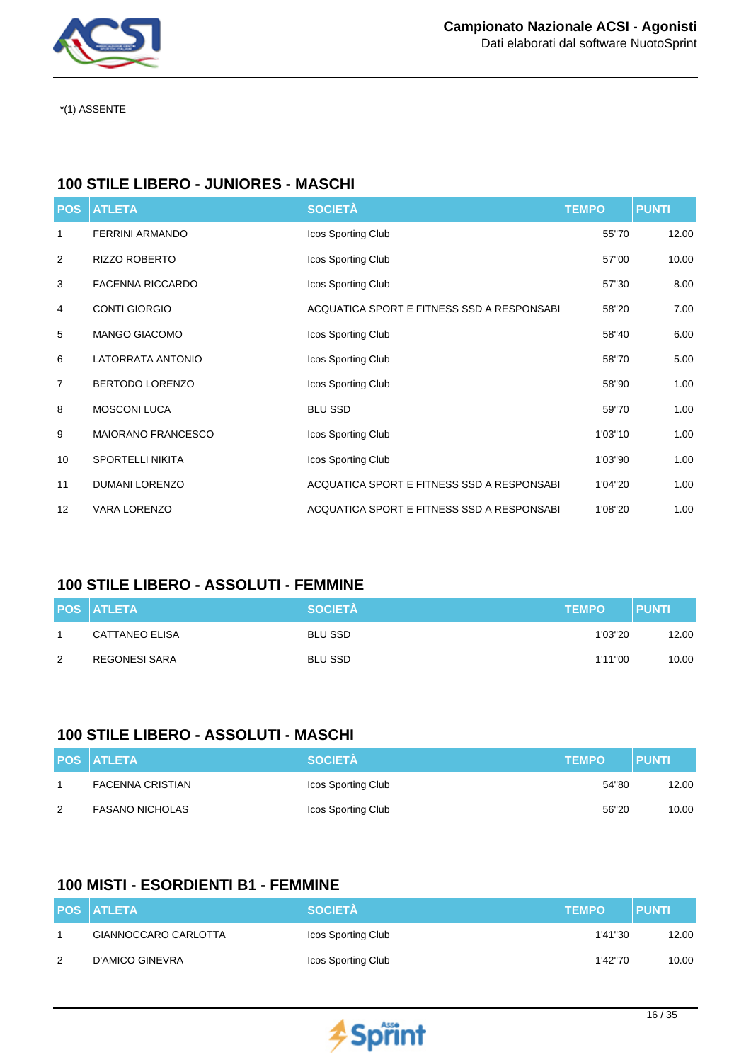

\*(1) ASSENTE

## **100 STILE LIBERO - JUNIORES - MASCHI**

| <b>POS</b>     | <b>ATLETA</b>             | <b>SOCIETÀ</b>                              | <b>TEMPO</b> | <b>PUNTI</b> |
|----------------|---------------------------|---------------------------------------------|--------------|--------------|
| 1              | <b>FERRINI ARMANDO</b>    | Icos Sporting Club                          | 55"70        | 12.00        |
| $\overline{2}$ | RIZZO ROBERTO             | Icos Sporting Club                          | 57"00        | 10.00        |
| 3              | <b>FACENNA RICCARDO</b>   | Icos Sporting Club                          | 57"30        | 8.00         |
| 4              | <b>CONTI GIORGIO</b>      | ACQUATICA SPORT E FITNESS SSD A RESPONSABIL | 58"20        | 7.00         |
| 5              | <b>MANGO GIACOMO</b>      | Icos Sporting Club                          | 58"40        | 6.00         |
| 6              | LATORRATA ANTONIO         | Icos Sporting Club                          | 58"70        | 5.00         |
| $\overline{7}$ | <b>BERTODO LORENZO</b>    | Icos Sporting Club                          | 58"90        | 1.00         |
| 8              | <b>MOSCONI LUCA</b>       | <b>BLU SSD</b>                              | 59"70        | 1.00         |
| 9              | <b>MAIORANO FRANCESCO</b> | Icos Sporting Club                          | 1'03"10      | 1.00         |
| 10             | <b>SPORTELLI NIKITA</b>   | Icos Sporting Club                          | 1'03"90      | 1.00         |
| 11             | <b>DUMANI LORENZO</b>     | ACQUATICA SPORT E FITNESS SSD A RESPONSABIL | 1'04"20      | 1.00         |
| 12             | <b>VARA LORENZO</b>       | ACQUATICA SPORT E FITNESS SSD A RESPONSABIL | 1'08"20      | 1.00         |

## **100 STILE LIBERO - ASSOLUTI - FEMMINE**

|   | <b>POS ATLETA</b>     | <b>SOCIETÀ</b> | <b>TEMPO</b> | <b>PUNTI</b> |
|---|-----------------------|----------------|--------------|--------------|
|   | <b>CATTANEO ELISA</b> | <b>BLU SSD</b> | 1'03"20      | 12.00        |
| 2 | REGONESI SARA         | <b>BLU SSD</b> | 1'11"00      | 10.00        |

#### **100 STILE LIBERO - ASSOLUTI - MASCHI**

|   | <b>POS ATLETA</b>       | <b>SOCIETÀ</b>     | <b>TEMPO</b> | <b>PUNTI</b> |
|---|-------------------------|--------------------|--------------|--------------|
|   | <b>FACENNA CRISTIAN</b> | Icos Sporting Club | 54"80        | 12.00        |
| 2 | <b>FASANO NICHOLAS</b>  | Icos Sporting Club | 56"20        | 10.00        |

## **100 MISTI - ESORDIENTI B1 - FEMMINE**

|   | <b>POS ATLETA</b>    | <b>SOCIETÀ</b>     | <b>TEMPO</b> | PUNTI |
|---|----------------------|--------------------|--------------|-------|
|   | GIANNOCCARO CARLOTTA | Icos Sporting Club | 1'41"30      | 12.00 |
| 2 | D'AMICO GINEVRA      | Icos Sporting Club | 1'42"70      | 10.00 |

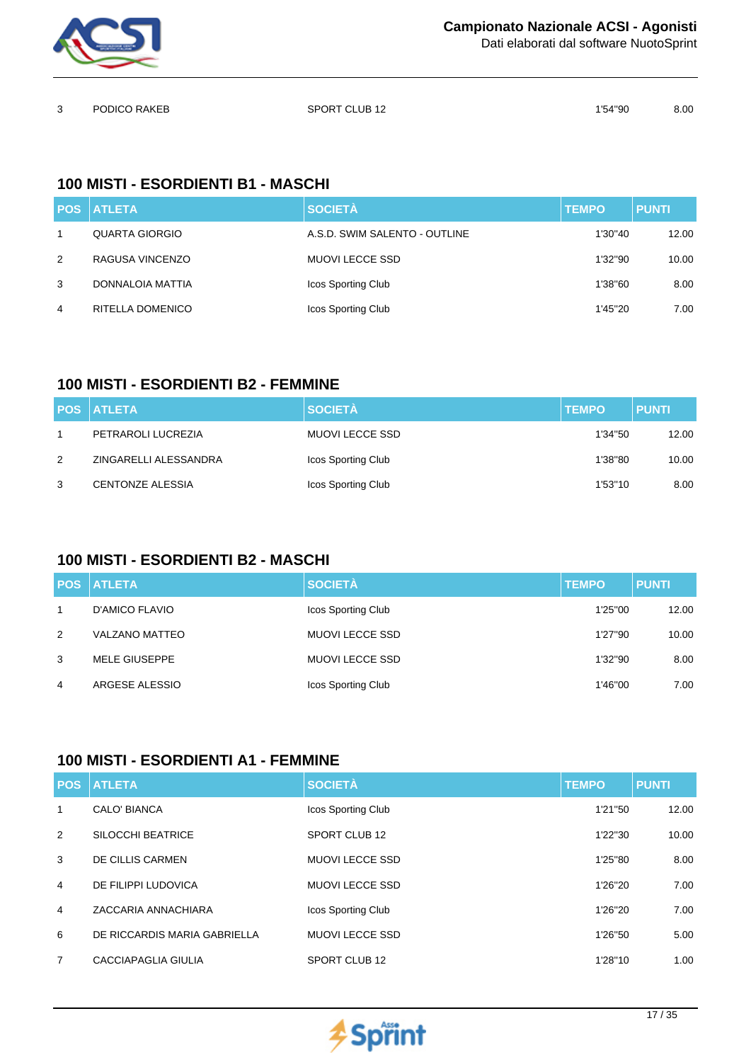

Dati elaborati dal software NuotoSprint

| $\mathbf{3}$ | PODICO RAKEB | SPORT CLUB 12 | 1'54"90 | 8.00 |
|--------------|--------------|---------------|---------|------|
|              |              |               |         |      |

## **100 MISTI - ESORDIENTI B1 - MASCHI**

|   | <b>POS ATLETA</b> | <b>SOCIETÀ</b>                | <b>TEMPO</b> | <b>PUNTI</b> |
|---|-------------------|-------------------------------|--------------|--------------|
|   | QUARTA GIORGIO    | A.S.D. SWIM SALENTO - OUTLINE | 1'30"40      | 12.00        |
| 2 | RAGUSA VINCENZO   | MUOVI LECCE SSD               | 1'32"90      | 10.00        |
| 3 | DONNALOIA MATTIA  | Icos Sporting Club            | 1'38"60      | 8.00         |
| 4 | RITELLA DOMENICO  | Icos Sporting Club            | 1'45"20      | 7.00         |

## **100 MISTI - ESORDIENTI B2 - FEMMINE**

|   | <b>POS ATLETA</b>       | <b>SOCIETÀ</b>     | <b>TEMPO</b> | <b>PUNTI</b> |
|---|-------------------------|--------------------|--------------|--------------|
|   | PETRAROLI LUCREZIA      | MUOVI LECCE SSD    | 1'34"50      | 12.00        |
| 2 | ZINGARELLI ALESSANDRA   | Icos Sporting Club | 1'38"80      | 10.00        |
| 3 | <b>CENTONZE ALESSIA</b> | Icos Sporting Club | 1'53"10      | 8.00         |

## **100 MISTI - ESORDIENTI B2 - MASCHI**

|   | <b>POS ATLETA</b>     | <b>SOCIETÀ</b>         | <b>TEMPO</b> | <b>PUNTI</b> |
|---|-----------------------|------------------------|--------------|--------------|
| 1 | D'AMICO FLAVIO        | Icos Sporting Club     | 1'25"00      | 12.00        |
| 2 | <b>VALZANO MATTEO</b> | <b>MUOVI LECCE SSD</b> | 1'27"90      | 10.00        |
| 3 | <b>MELE GIUSEPPE</b>  | <b>MUOVI LECCE SSD</b> | 1'32"90      | 8.00         |
| 4 | ARGESE ALESSIO        | Icos Sporting Club     | 1'46"00      | 7.00         |

### **100 MISTI - ESORDIENTI A1 - FEMMINE**

| <b>POS</b>     | <b>ATLETA</b>                | <b>SOCIETÀ</b>            | <b>TEMPO</b> | <b>PUNTI</b> |
|----------------|------------------------------|---------------------------|--------------|--------------|
| 1              | <b>CALO' BIANCA</b>          | Icos Sporting Club        | 1'21"50      | 12.00        |
| 2              | SILOCCHI BEATRICE            | SPORT CLUB 12             | 1'22"30      | 10.00        |
| 3              | DE CILLIS CARMEN             | <b>MUOVI LECCE SSD</b>    | 1'25"80      | 8.00         |
| $\overline{4}$ | DE FILIPPI LUDOVICA          | <b>MUOVI LECCE SSD</b>    | 1'26"20      | 7.00         |
| 4              | ZACCARIA ANNACHIARA          | <b>Icos Sporting Club</b> | 1'26"20      | 7.00         |
| 6              | DE RICCARDIS MARIA GABRIELLA | <b>MUOVI LECCE SSD</b>    | 1'26"50      | 5.00         |
| 7              | CACCIAPAGLIA GIULIA          | SPORT CLUB 12             | 1'28"10      | 1.00         |

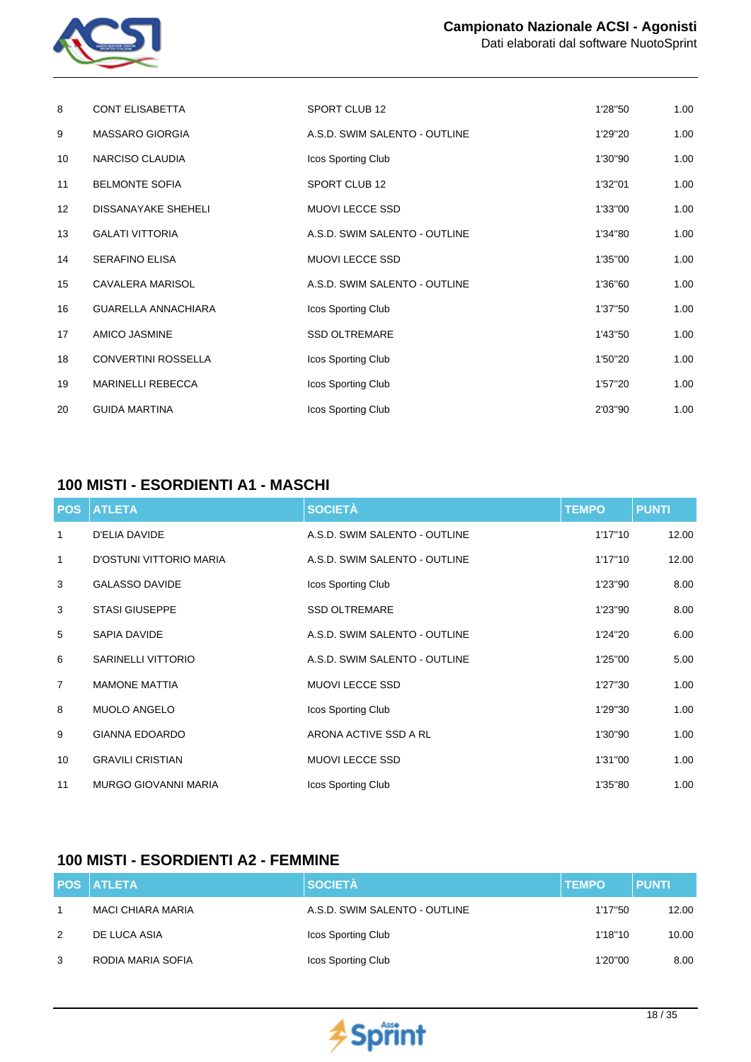

| 8  | <b>CONT ELISABETTA</b>     | SPORT CLUB 12                 | 1'28"50 | 1.00 |
|----|----------------------------|-------------------------------|---------|------|
| 9  | <b>MASSARO GIORGIA</b>     | A.S.D. SWIM SALENTO - OUTLINE | 1'29"20 | 1.00 |
| 10 | NARCISO CLAUDIA            | Icos Sporting Club            | 1'30"90 | 1.00 |
| 11 | <b>BELMONTE SOFIA</b>      | SPORT CLUB 12                 | 1'32"01 | 1.00 |
| 12 | <b>DISSANAYAKE SHEHELI</b> | MUOVI LECCE SSD               | 1'33"00 | 1.00 |
| 13 | <b>GALATI VITTORIA</b>     | A.S.D. SWIM SALENTO - OUTLINE | 1'34"80 | 1.00 |
| 14 | <b>SERAFINO ELISA</b>      | MUOVI LECCE SSD               | 1'35"00 | 1.00 |
| 15 | CAVALERA MARISOL           | A.S.D. SWIM SALENTO - OUTLINE | 1'36"60 | 1.00 |
| 16 | <b>GUARELLA ANNACHIARA</b> | Icos Sporting Club            | 1'37"50 | 1.00 |
| 17 | <b>AMICO JASMINE</b>       | <b>SSD OLTREMARE</b>          | 1'43"50 | 1.00 |
| 18 | <b>CONVERTINI ROSSELLA</b> | Icos Sporting Club            | 1'50"20 | 1.00 |
| 19 | <b>MARINELLI REBECCA</b>   | Icos Sporting Club            | 1'57"20 | 1.00 |
| 20 | <b>GUIDA MARTINA</b>       | Icos Sporting Club            | 2'03"90 | 1.00 |

## **100 MISTI - ESORDIENTI A1 - MASCHI**

| <b>POS</b>     | <b>ATLETA</b>               | <b>SOCIETÀ</b>                | <b>TEMPO</b> | <b>PUNTI</b> |
|----------------|-----------------------------|-------------------------------|--------------|--------------|
| 1              | D'ELIA DAVIDE               | A.S.D. SWIM SALENTO - OUTLINE | 1'17"10      | 12.00        |
| 1              | D'OSTUNI VITTORIO MARIA     | A.S.D. SWIM SALENTO - OUTLINE | 1'17"10      | 12.00        |
| 3              | <b>GALASSO DAVIDE</b>       | Icos Sporting Club            | 1'23"90      | 8.00         |
| 3              | <b>STASI GIUSEPPE</b>       | <b>SSD OLTREMARE</b>          | 1'23"90      | 8.00         |
| 5              | SAPIA DAVIDE                | A.S.D. SWIM SALENTO - OUTLINE | 1'24"20      | 6.00         |
| 6              | <b>SARINELLI VITTORIO</b>   | A.S.D. SWIM SALENTO - OUTLINE | 1'25"00      | 5.00         |
| $\overline{7}$ | <b>MAMONE MATTIA</b>        | MUOVI LECCE SSD               | 1'27"30      | 1.00         |
| 8              | <b>MUOLO ANGELO</b>         | Icos Sporting Club            | 1'29"30      | 1.00         |
| 9              | <b>GIANNA EDOARDO</b>       | ARONA ACTIVE SSD A RL         | 1'30"90      | 1.00         |
| 10             | <b>GRAVILI CRISTIAN</b>     | <b>MUOVI LECCE SSD</b>        | 1'31"00      | 1.00         |
| 11             | <b>MURGO GIOVANNI MARIA</b> | Icos Sporting Club            | 1'35"80      | 1.00         |

## **100 MISTI - ESORDIENTI A2 - FEMMINE**

|   | <b>POS ATLETA</b>        | <b>SOCIETÀ</b>                | <b>TEMPO</b> | <b>PUNTI</b> |
|---|--------------------------|-------------------------------|--------------|--------------|
| 1 | <b>MACI CHIARA MARIA</b> | A.S.D. SWIM SALENTO - OUTLINE | 1'17"50      | 12.00        |
| 2 | DE LUCA ASIA             | Icos Sporting Club            | 1'18"10      | 10.00        |
| 3 | RODIA MARIA SOFIA        | Icos Sporting Club            | 1'20"00      | 8.00         |

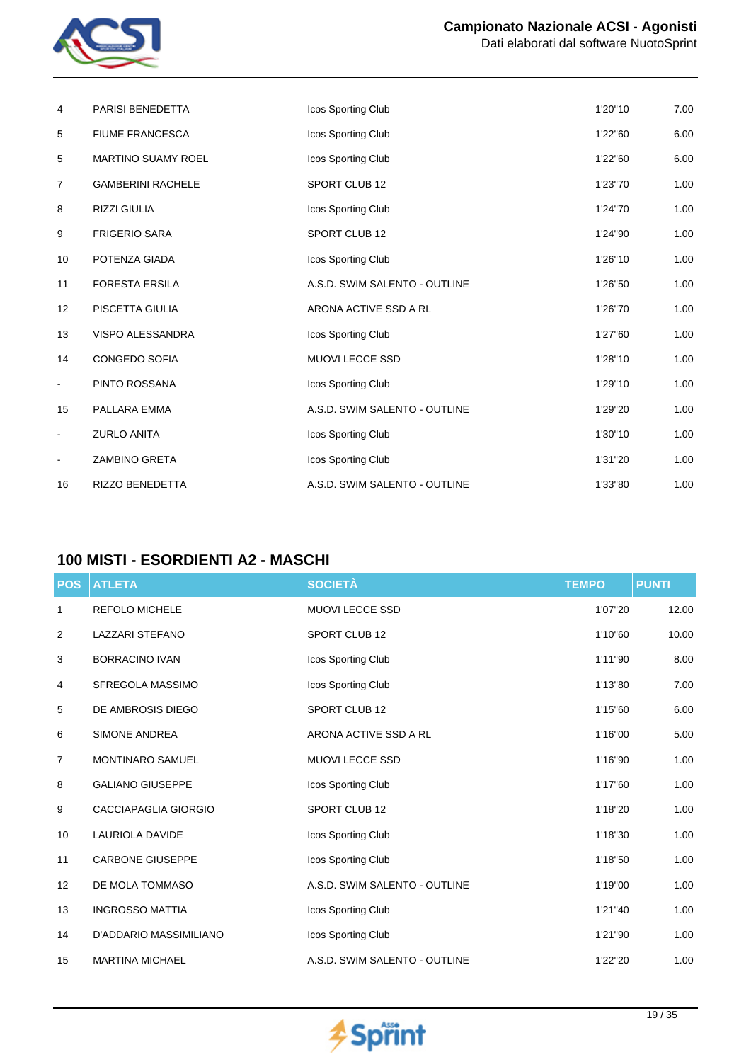

| Dati elaborati dal software NuotoSprint |
|-----------------------------------------|
|-----------------------------------------|

| 4                | <b>PARISI BENEDETTA</b>   | Icos Sporting Club            | 1'20"10 | 7.00 |
|------------------|---------------------------|-------------------------------|---------|------|
| 5                | <b>FIUME FRANCESCA</b>    | Icos Sporting Club            | 1'22"60 | 6.00 |
| 5                | <b>MARTINO SUAMY ROEL</b> | Icos Sporting Club            | 1'22"60 | 6.00 |
| $\boldsymbol{7}$ | <b>GAMBERINI RACHELE</b>  | SPORT CLUB 12                 | 1'23"70 | 1.00 |
| 8                | <b>RIZZI GIULIA</b>       | Icos Sporting Club            | 1'24"70 | 1.00 |
| 9                | <b>FRIGERIO SARA</b>      | SPORT CLUB 12                 | 1'24"90 | 1.00 |
| 10               | POTENZA GIADA             | Icos Sporting Club            | 1'26"10 | 1.00 |
| 11               | <b>FORESTA ERSILA</b>     | A.S.D. SWIM SALENTO - OUTLINE | 1'26"50 | 1.00 |
| 12               | PISCETTA GIULIA           | ARONA ACTIVE SSD A RL         | 1'26"70 | 1.00 |
| 13               | VISPO ALESSANDRA          | Icos Sporting Club            | 1'27"60 | 1.00 |
| 14               | CONGEDO SOFIA             | <b>MUOVI LECCE SSD</b>        | 1'28"10 | 1.00 |
| $\blacksquare$   | PINTO ROSSANA             | Icos Sporting Club            | 1'29"10 | 1.00 |
| 15               | PALLARA EMMA              | A.S.D. SWIM SALENTO - OUTLINE | 1'29"20 | 1.00 |
| $\blacksquare$   | <b>ZURLO ANITA</b>        | Icos Sporting Club            | 1'30"10 | 1.00 |
| $\blacksquare$   | ZAMBINO GRETA             | Icos Sporting Club            | 1'31"20 | 1.00 |
| 16               | <b>RIZZO BENEDETTA</b>    | A.S.D. SWIM SALENTO - OUTLINE | 1'33"80 | 1.00 |

## **100 MISTI - ESORDIENTI A2 - MASCHI**

| <b>POS</b> | <b>ATLETA</b>           | <b>SOCIETÀ</b>                | <b>TEMPO</b> | <b>PUNTI</b> |
|------------|-------------------------|-------------------------------|--------------|--------------|
| 1          | <b>REFOLO MICHELE</b>   | MUOVI LECCE SSD               | 1'07"20      | 12.00        |
| 2          | <b>LAZZARI STEFANO</b>  | SPORT CLUB 12                 | 1'10"60      | 10.00        |
| 3          | <b>BORRACINO IVAN</b>   | Icos Sporting Club            | 1'11"90      | 8.00         |
| 4          | SFREGOLA MASSIMO        | <b>Icos Sporting Club</b>     | 1'13"80      | 7.00         |
| 5          | DE AMBROSIS DIEGO       | SPORT CLUB 12                 | 1'15"60      | 6.00         |
| 6          | <b>SIMONE ANDREA</b>    | ARONA ACTIVE SSD A RL         | 1'16"00      | 5.00         |
| 7          | <b>MONTINARO SAMUEL</b> | <b>MUOVI LECCE SSD</b>        | 1'16"90      | 1.00         |
| 8          | <b>GALIANO GIUSEPPE</b> | Icos Sporting Club            | 1'17"60      | 1.00         |
| 9          | CACCIAPAGLIA GIORGIO    | SPORT CLUB 12                 | 1'18"20      | 1.00         |
| 10         | <b>LAURIOLA DAVIDE</b>  | Icos Sporting Club            | 1'18"30      | 1.00         |
| 11         | <b>CARBONE GIUSEPPE</b> | Icos Sporting Club            | 1'18"50      | 1.00         |
| 12         | DE MOLA TOMMASO         | A.S.D. SWIM SALENTO - OUTLINE | 1'19"00      | 1.00         |
| 13         | <b>INGROSSO MATTIA</b>  | Icos Sporting Club            | 1'21"40      | 1.00         |
| 14         | D'ADDARIO MASSIMILIANO  | Icos Sporting Club            | 1'21"90      | 1.00         |
| 15         | <b>MARTINA MICHAEL</b>  | A.S.D. SWIM SALENTO - OUTLINE | 1'22"20      | 1.00         |

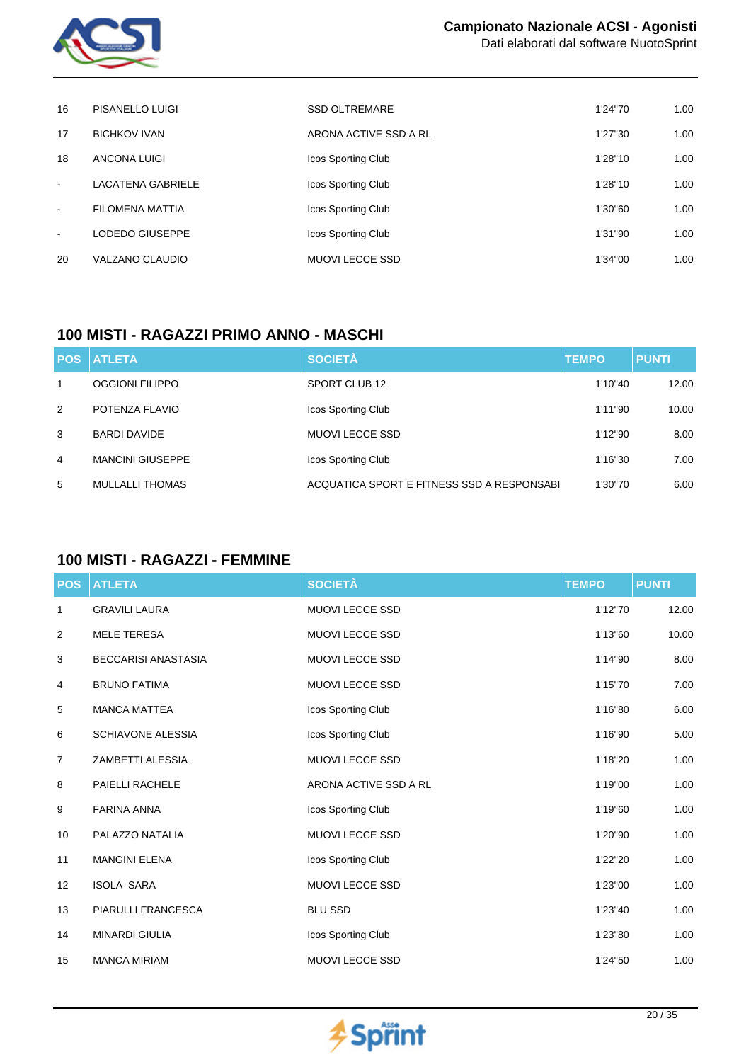

| 16     | PISANELLO LUIGI        | <b>SSD OLTREMARE</b>   | 1'24"70 | 1.00 |
|--------|------------------------|------------------------|---------|------|
| 17     | <b>BICHKOV IVAN</b>    | ARONA ACTIVE SSD A RL  | 1'27"30 | 1.00 |
| 18     | ANCONA LUIGI           | Icos Sporting Club     | 1'28"10 | 1.00 |
| $\sim$ | LACATENA GABRIELE      | Icos Sporting Club     | 1'28"10 | 1.00 |
| $\sim$ | <b>FILOMENA MATTIA</b> | Icos Sporting Club     | 1'30"60 | 1.00 |
| $\sim$ | LODEDO GIUSEPPE        | Icos Sporting Club     | 1'31"90 | 1.00 |
| 20     | VALZANO CLAUDIO        | <b>MUOVI LECCE SSD</b> | 1'34"00 | 1.00 |

## **100 MISTI - RAGAZZI PRIMO ANNO - MASCHI**

|              | <b>POS ATLETA</b>       | <b>SOCIETÀ</b>                             | <b>TEMPO</b> | <b>PUNTI</b> |
|--------------|-------------------------|--------------------------------------------|--------------|--------------|
| $\mathbf{1}$ | <b>OGGIONI FILIPPO</b>  | SPORT CLUB 12                              | 1'10"40      | 12.00        |
| 2            | POTENZA FLAVIO          | Icos Sporting Club                         | 1'11"90      | 10.00        |
| 3            | <b>BARDI DAVIDE</b>     | MUOVI LECCE SSD                            | 1'12"90      | 8.00         |
| 4            | <b>MANCINI GIUSEPPE</b> | Icos Sporting Club                         | 1'16"30      | 7.00         |
| 5            | MULLALLI THOMAS         | ACQUATICA SPORT E FITNESS SSD A RESPONSABI | 1'30"70      | 6.00         |

# **100 MISTI - RAGAZZI - FEMMINE**

| <b>POS</b> | <b>ATLETA</b>              | <b>SOCIETÀ</b>         | <b>TEMPO</b> | <b>PUNTI</b> |
|------------|----------------------------|------------------------|--------------|--------------|
| 1          | <b>GRAVILI LAURA</b>       | MUOVI LECCE SSD        | 1'12"70      | 12.00        |
| 2          | <b>MELE TERESA</b>         | <b>MUOVI LECCE SSD</b> | 1'13"60      | 10.00        |
| 3          | <b>BECCARISI ANASTASIA</b> | MUOVI LECCE SSD        | 1'14"90      | 8.00         |
| 4          | <b>BRUNO FATIMA</b>        | MUOVI LECCE SSD        | 1'15"70      | 7.00         |
| 5          | <b>MANCA MATTEA</b>        | Icos Sporting Club     | 1'16"80      | 6.00         |
| 6          | <b>SCHIAVONE ALESSIA</b>   | Icos Sporting Club     | 1'16"90      | 5.00         |
| 7          | ZAMBETTI ALESSIA           | <b>MUOVI LECCE SSD</b> | 1'18"20      | 1.00         |
| 8          | PAIELLI RACHELE            | ARONA ACTIVE SSD A RL  | 1'19"00      | 1.00         |
| 9          | <b>FARINA ANNA</b>         | Icos Sporting Club     | 1'19"60      | 1.00         |
| 10         | PALAZZO NATALIA            | <b>MUOVI LECCE SSD</b> | 1'20"90      | 1.00         |
| 11         | <b>MANGINI ELENA</b>       | Icos Sporting Club     | 1'22"20      | 1.00         |
| 12         | <b>ISOLA SARA</b>          | <b>MUOVI LECCE SSD</b> | 1'23"00      | 1.00         |
| 13         | PIARULLI FRANCESCA         | <b>BLU SSD</b>         | 1'23"40      | 1.00         |
| 14         | <b>MINARDI GIULIA</b>      | Icos Sporting Club     | 1'23"80      | 1.00         |
| 15         | <b>MANCA MIRIAM</b>        | <b>MUOVI LECCE SSD</b> | 1'24"50      | 1.00         |

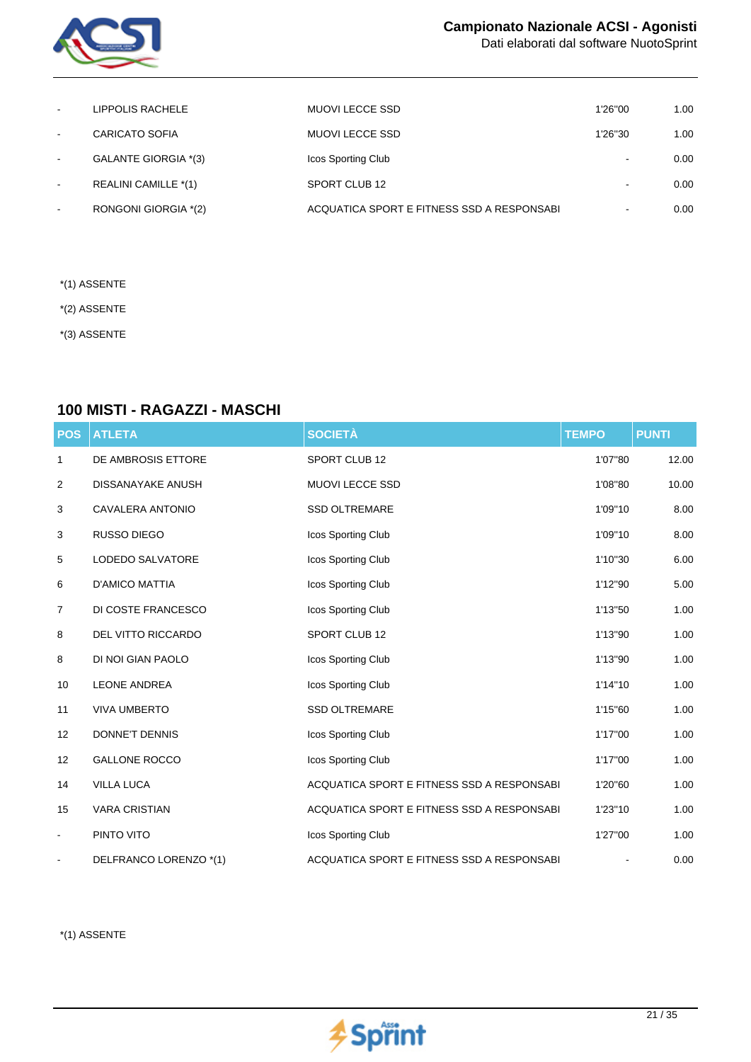

Dati elaborati dal software NuotoSprint

| $\sim$                   | LIPPOLIS RACHELE      | MUOVI LECCE SSD                            | 1'26"00        | 1.00 |
|--------------------------|-----------------------|--------------------------------------------|----------------|------|
| $\sim$                   | <b>CARICATO SOFIA</b> | MUOVI LECCE SSD                            | 1'26"30        | 1.00 |
| $\sim$                   | GALANTE GIORGIA *(3)  | Icos Sporting Club                         | $\blacksquare$ | 0.00 |
| $\overline{\phantom{a}}$ | REALINI CAMILLE *(1)  | SPORT CLUB 12                              |                | 0.00 |
| $\overline{\phantom{a}}$ | RONGONI GIORGIA *(2)  | ACQUATICA SPORT E FITNESS SSD A RESPONSABI |                | 0.00 |

- \*(1) ASSENTE
- \*(2) ASSENTE
- \*(3) ASSENTE

#### **100 MISTI - RAGAZZI - MASCHI**

| <b>POS</b>     | <b>ATLETA</b>            | <b>SOCIETÀ</b>                              | <b>TEMPO</b> | <b>PUNTI</b> |
|----------------|--------------------------|---------------------------------------------|--------------|--------------|
| 1              | DE AMBROSIS ETTORE       | SPORT CLUB 12                               | 1'07"80      | 12.00        |
| 2              | <b>DISSANAYAKE ANUSH</b> | MUOVI LECCE SSD                             | 1'08"80      | 10.00        |
| 3              | CAVALERA ANTONIO         | <b>SSD OLTREMARE</b>                        | 1'09"10      | 8.00         |
| 3              | RUSSO DIEGO              | Icos Sporting Club                          | 1'09"10      | 8.00         |
| 5              | LODEDO SALVATORE         | Icos Sporting Club                          | 1'10"30      | 6.00         |
| 6              | <b>D'AMICO MATTIA</b>    | Icos Sporting Club                          | 1'12"90      | 5.00         |
| $\overline{7}$ | DI COSTE FRANCESCO       | Icos Sporting Club                          | 1'13"50      | 1.00         |
| 8              | DEL VITTO RICCARDO       | SPORT CLUB 12                               | 1'13"90      | 1.00         |
| 8              | DI NOI GIAN PAOLO        | Icos Sporting Club                          | 1'13"90      | 1.00         |
| 10             | <b>LEONE ANDREA</b>      | Icos Sporting Club                          | 1'14"10      | 1.00         |
| 11             | <b>VIVA UMBERTO</b>      | <b>SSD OLTREMARE</b>                        | 1'15"60      | 1.00         |
| 12             | DONNE'T DENNIS           | Icos Sporting Club                          | 1'17"00      | 1.00         |
| 12             | <b>GALLONE ROCCO</b>     | Icos Sporting Club                          | 1'17"00      | 1.00         |
| 14             | <b>VILLA LUCA</b>        | ACQUATICA SPORT E FITNESS SSD A RESPONSABI  | 1'20"60      | 1.00         |
| 15             | <b>VARA CRISTIAN</b>     | ACQUATICA SPORT E FITNESS SSD A RESPONSABI  | 1'23"10      | 1.00         |
| $\blacksquare$ | PINTO VITO               | Icos Sporting Club                          | 1'27"00      | 1.00         |
|                | DELFRANCO LORENZO *(1)   | ACQUATICA SPORT E FITNESS SSD A RESPONSABIL |              | 0.00         |

\*(1) ASSENTE

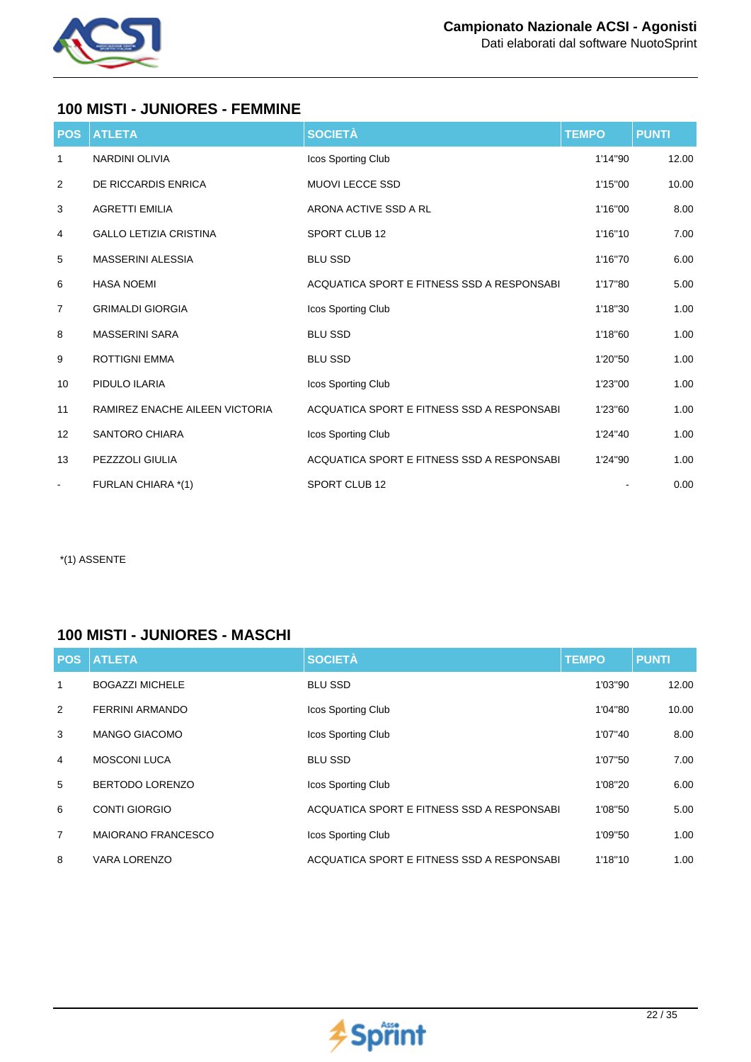

### **100 MISTI - JUNIORES - FEMMINE**

| <b>POS</b>     | <b>ATLETA</b>                  | <b>SOCIETÀ</b>                              | <b>TEMPO</b> | <b>PUNTI</b> |
|----------------|--------------------------------|---------------------------------------------|--------------|--------------|
| 1              | NARDINI OLIVIA                 | Icos Sporting Club                          | 1'14"90      | 12.00        |
| 2              | DE RICCARDIS ENRICA            | <b>MUOVI LECCE SSD</b>                      | 1'15"00      | 10.00        |
| 3              | <b>AGRETTI EMILIA</b>          | ARONA ACTIVE SSD A RL                       | 1'16"00      | 8.00         |
| 4              | <b>GALLO LETIZIA CRISTINA</b>  | SPORT CLUB 12                               | 1'16"10      | 7.00         |
| 5              | <b>MASSERINI ALESSIA</b>       | <b>BLU SSD</b>                              | 1'16"70      | 6.00         |
| 6              | <b>HASA NOEMI</b>              | ACQUATICA SPORT E FITNESS SSD A RESPONSABIL | 1'17"80      | 5.00         |
| $\overline{7}$ | <b>GRIMALDI GIORGIA</b>        | Icos Sporting Club                          | 1'18"30      | 1.00         |
| 8              | <b>MASSERINI SARA</b>          | <b>BLU SSD</b>                              | 1'18"60      | 1.00         |
| 9              | <b>ROTTIGNI EMMA</b>           | <b>BLU SSD</b>                              | 1'20"50      | 1.00         |
| 10             | PIDULO ILARIA                  | Icos Sporting Club                          | 1'23"00      | 1.00         |
| 11             | RAMIREZ ENACHE AILEEN VICTORIA | ACQUATICA SPORT E FITNESS SSD A RESPONSABIL | 1'23"60      | 1.00         |
| 12             | <b>SANTORO CHIARA</b>          | Icos Sporting Club                          | 1'24"40      | 1.00         |
| 13             | PEZZZOLI GIULIA                | ACQUATICA SPORT E FITNESS SSD A RESPONSABIL | 1'24"90      | 1.00         |
| $\blacksquare$ | FURLAN CHIARA *(1)             | SPORT CLUB 12                               |              | 0.00         |

\*(1) ASSENTE

## **100 MISTI - JUNIORES - MASCHI**

| <b>POS</b> | <b>ATLETA</b>             | <b>SOCIETÀ</b>                             | <b>TEMPO</b> | <b>PUNTI</b> |
|------------|---------------------------|--------------------------------------------|--------------|--------------|
| 1          | <b>BOGAZZI MICHELE</b>    | <b>BLU SSD</b>                             | 1'03"90      | 12.00        |
| 2          | FERRINI ARMANDO           | Icos Sporting Club                         | 1'04"80      | 10.00        |
| 3          | <b>MANGO GIACOMO</b>      | Icos Sporting Club                         | 1'07"40      | 8.00         |
| 4          | <b>MOSCONI LUCA</b>       | <b>BLU SSD</b>                             | 1'07"50      | 7.00         |
| 5          | BERTODO LORENZO           | Icos Sporting Club                         | 1'08"20      | 6.00         |
| 6          | <b>CONTI GIORGIO</b>      | ACQUATICA SPORT E FITNESS SSD A RESPONSABI | 1'08"50      | 5.00         |
| 7          | <b>MAIORANO FRANCESCO</b> | Icos Sporting Club                         | 1'09"50      | 1.00         |
| 8          | VARA LORENZO              | ACQUATICA SPORT E FITNESS SSD A RESPONSABI | 1'18"10      | 1.00         |

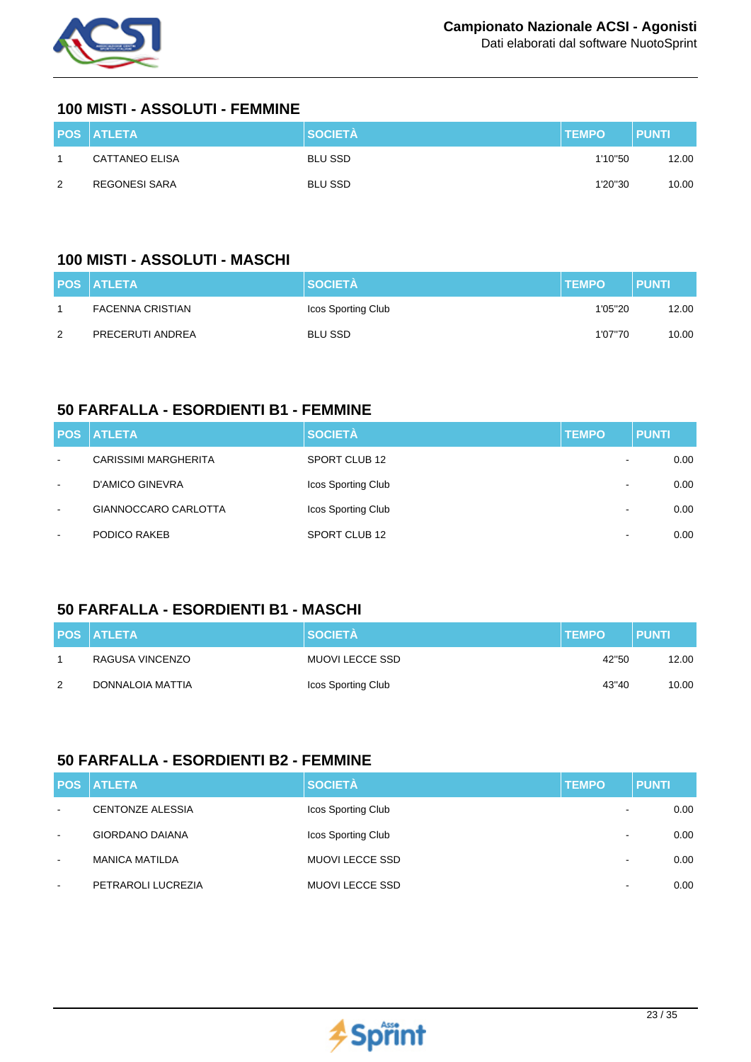

#### **100 MISTI - ASSOLUTI - FEMMINE**

|   | <b>POS ATLETA</b> | <b>SOCIETÀ</b> | <b>TEMPO</b> | <b>PUNTI</b> |
|---|-------------------|----------------|--------------|--------------|
|   | CATTANEO ELISA    | <b>BLU SSD</b> | 1'10"50      | 12.00        |
| 2 | REGONESI SARA     | <b>BLU SSD</b> | 1'20"30      | 10.00        |

## **100 MISTI - ASSOLUTI - MASCHI**

|   | <b>POS ATLETA</b>       | <b>SOCIETÀ</b>     | <b>TEMPO</b> | <b>PUNTI</b> |
|---|-------------------------|--------------------|--------------|--------------|
|   | <b>FACENNA CRISTIAN</b> | Icos Sporting Club | 1'05"20      | 12.00        |
| 2 | PRECERUTI ANDREA        | <b>BLU SSD</b>     | 1'07"70      | 10.00        |

## **50 FARFALLA - ESORDIENTI B1 - FEMMINE**

|                          | <b>POS ATLETA</b>           | <b>SOCIETÀ</b>     | <b>TEMPO</b>             | <b>PUNTI</b> |
|--------------------------|-----------------------------|--------------------|--------------------------|--------------|
| $\blacksquare$           | <b>CARISSIMI MARGHERITA</b> | SPORT CLUB 12      | $\overline{\phantom{a}}$ | 0.00         |
| $\blacksquare$           | D'AMICO GINEVRA             | Icos Sporting Club | $\overline{\phantom{0}}$ | 0.00         |
| $\blacksquare$           | GIANNOCCARO CARLOTTA        | Icos Sporting Club | $\,$ $\,$                | 0.00         |
| $\overline{\phantom{0}}$ | PODICO RAKEB                | SPORT CLUB 12      | $\overline{\phantom{a}}$ | 0.00         |

## **50 FARFALLA - ESORDIENTI B1 - MASCHI**

|   | <b>POS ATLETA</b> | <b>SOCIETÀ</b>     | <b>TEMPO</b> | <b>PUNTI</b> |
|---|-------------------|--------------------|--------------|--------------|
|   | RAGUSA VINCENZO   | MUOVI LECCE SSD    | 42"50        | 12.00        |
| 2 | DONNALOIA MATTIA  | Icos Sporting Club | 43"40        | 10.00        |

#### **50 FARFALLA - ESORDIENTI B2 - FEMMINE**

|                          | <b>POS ATLETA</b>       | <b>SOCIETÀ</b>         | <b>TEMPO</b>             | <b>PUNTI</b> |
|--------------------------|-------------------------|------------------------|--------------------------|--------------|
| $\sim$                   | <b>CENTONZE ALESSIA</b> | Icos Sporting Club     | $\,$                     | 0.00         |
| $\sim$                   | <b>GIORDANO DAIANA</b>  | Icos Sporting Club     | $\overline{\phantom{a}}$ | 0.00         |
| $\overline{\phantom{a}}$ | <b>MANICA MATILDA</b>   | <b>MUOVI LECCE SSD</b> | $\,$ $\,$                | 0.00         |
| $\overline{\phantom{a}}$ | PETRAROLI LUCREZIA      | <b>MUOVI LECCE SSD</b> | $\overline{\phantom{a}}$ | 0.00         |

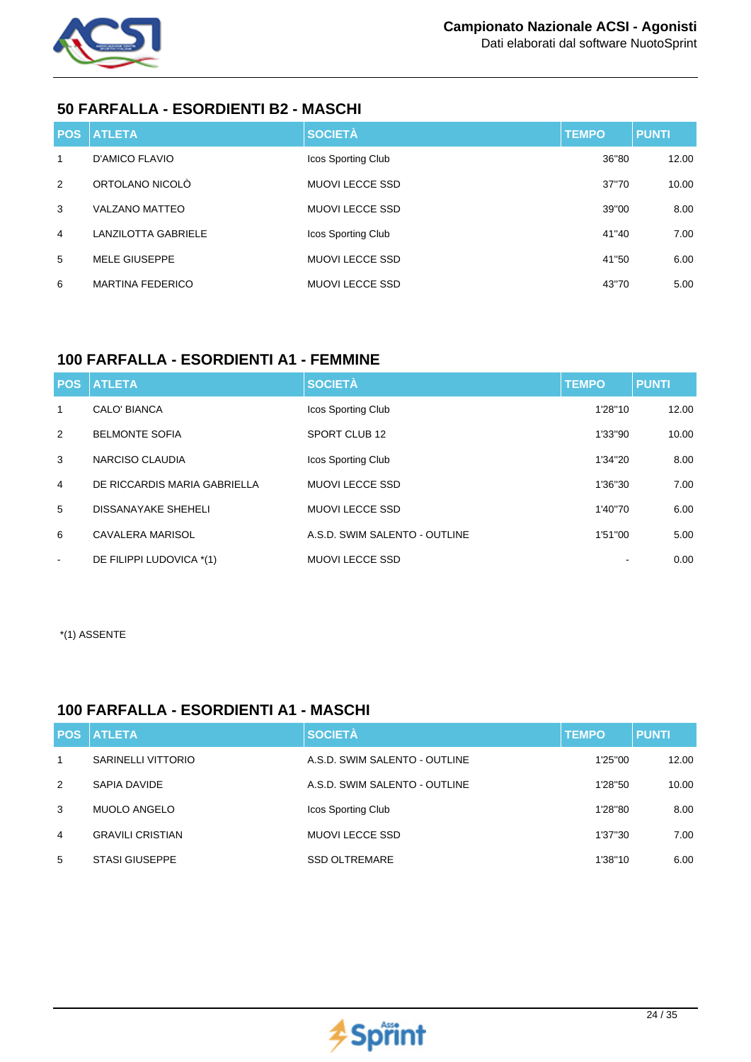

#### **50 FARFALLA - ESORDIENTI B2 - MASCHI**

|                | <b>POS ATLETA</b>          | <b>SOCIETÀ</b>         | <b>TEMPO</b> | <b>PUNTI</b> |
|----------------|----------------------------|------------------------|--------------|--------------|
| 1              | D'AMICO FLAVIO             | Icos Sporting Club     | 36"80        | 12.00        |
| $\mathcal{P}$  | ORTOLANO NICOLÒ            | <b>MUOVI LECCE SSD</b> | 37"70        | 10.00        |
| 3              | <b>VALZANO MATTEO</b>      | <b>MUOVI LECCE SSD</b> | 39"00        | 8.00         |
| $\overline{4}$ | <b>LANZILOTTA GABRIELE</b> | Icos Sporting Club     | 41"40        | 7.00         |
| 5              | <b>MELE GIUSEPPE</b>       | <b>MUOVI LECCE SSD</b> | 41"50        | 6.00         |
| 6              | <b>MARTINA FEDERICO</b>    | <b>MUOVI LECCE SSD</b> | 43"70        | 5.00         |

## **100 FARFALLA - ESORDIENTI A1 - FEMMINE**

| <b>POS</b>     | <b>ATLETA</b>                | <b>SOCIETÀ</b>                | <b>TEMPO</b> | <b>PUNTI</b> |
|----------------|------------------------------|-------------------------------|--------------|--------------|
| $\mathbf{1}$   | CALO' BIANCA                 | Icos Sporting Club            | 1'28"10      | 12.00        |
| 2              | <b>BELMONTE SOFIA</b>        | SPORT CLUB 12                 | 1'33"90      | 10.00        |
| 3              | NARCISO CLAUDIA              | <b>Icos Sporting Club</b>     | 1'34"20      | 8.00         |
| $\overline{4}$ | DE RICCARDIS MARIA GABRIELLA | <b>MUOVI LECCE SSD</b>        | 1'36"30      | 7.00         |
| 5              | <b>DISSANAYAKE SHEHELI</b>   | <b>MUOVI LECCE SSD</b>        | 1'40"70      | 6.00         |
| 6              | CAVALERA MARISOL             | A.S.D. SWIM SALENTO - OUTLINE | 1'51"00      | 5.00         |
| $\blacksquare$ | DE FILIPPI LUDOVICA *(1)     | <b>MUOVI LECCE SSD</b>        |              | 0.00         |

\*(1) ASSENTE

## **100 FARFALLA - ESORDIENTI A1 - MASCHI**

| <b>POS</b> | <b>ATLETA</b>           | <b>SOCIETÀ</b>                | <b>TEMPO</b> | <b>PUNTI</b> |
|------------|-------------------------|-------------------------------|--------------|--------------|
| 1          | SARINELLI VITTORIO      | A.S.D. SWIM SALENTO - OUTLINE | 1'25"00      | 12.00        |
| 2          | SAPIA DAVIDE            | A.S.D. SWIM SALENTO - OUTLINE | 1'28"50      | 10.00        |
| 3          | <b>MUOLO ANGELO</b>     | Icos Sporting Club            | 1'28"80      | 8.00         |
| 4          | <b>GRAVILI CRISTIAN</b> | MUOVI LECCE SSD               | 1'37"30      | 7.00         |
| 5          | <b>STASI GIUSEPPE</b>   | <b>SSD OLTREMARE</b>          | 1'38"10      | 6.00         |

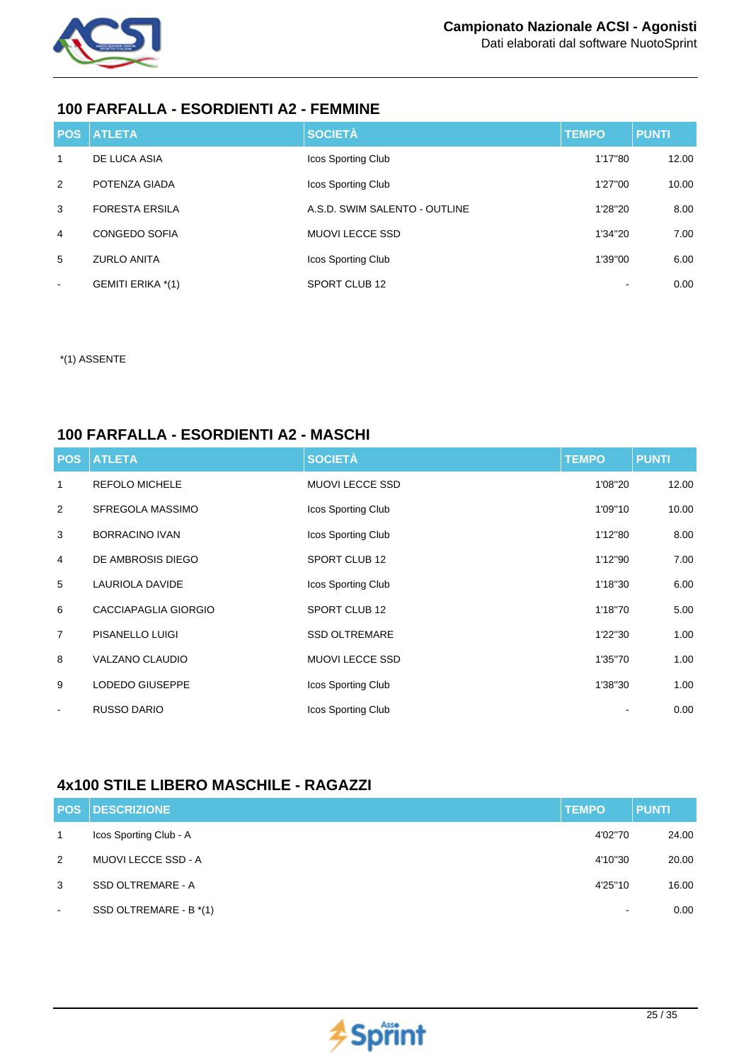

Dati elaborati dal software NuotoSprint

#### **100 FARFALLA - ESORDIENTI A2 - FEMMINE**

|                          | <b>POS ATLETA</b>        | <b>SOCIETÀ</b>                | <b>TEMPO</b> | <b>PUNTI</b> |
|--------------------------|--------------------------|-------------------------------|--------------|--------------|
| $\mathbf{1}$             | DE LUCA ASIA             | Icos Sporting Club            | 1'17"80      | 12.00        |
| 2                        | POTENZA GIADA            | Icos Sporting Club            | 1'27"00      | 10.00        |
| 3                        | <b>FORESTA ERSILA</b>    | A.S.D. SWIM SALENTO - OUTLINE | 1'28"20      | 8.00         |
| $\overline{4}$           | <b>CONGEDO SOFIA</b>     | <b>MUOVI LECCE SSD</b>        | 1'34"20      | 7.00         |
| 5                        | <b>ZURLO ANITA</b>       | Icos Sporting Club            | 1'39"00      | 6.00         |
| $\overline{\phantom{a}}$ | <b>GEMITI ERIKA *(1)</b> | SPORT CLUB 12                 |              | 0.00         |

\*(1) ASSENTE

#### **100 FARFALLA - ESORDIENTI A2 - MASCHI**

| <b>POS</b>     | <b>ATLETA</b>          | <b>SOCIETÀ</b>         | <b>TEMPO</b> | <b>PUNTI</b> |
|----------------|------------------------|------------------------|--------------|--------------|
| 1              | <b>REFOLO MICHELE</b>  | <b>MUOVI LECCE SSD</b> | 1'08"20      | 12.00        |
| 2              | SFREGOLA MASSIMO       | Icos Sporting Club     | 1'09"10      | 10.00        |
| 3              | <b>BORRACINO IVAN</b>  | Icos Sporting Club     | 1'12"80      | 8.00         |
| $\overline{4}$ | DE AMBROSIS DIEGO      | SPORT CLUB 12          | 1'12"90      | 7.00         |
| 5              | LAURIOLA DAVIDE        | Icos Sporting Club     | 1'18"30      | 6.00         |
| 6              | CACCIAPAGLIA GIORGIO   | SPORT CLUB 12          | 1'18"70      | 5.00         |
| $\overline{7}$ | PISANELLO LUIGI        | <b>SSD OLTREMARE</b>   | 1'22"30      | 1.00         |
| 8              | <b>VALZANO CLAUDIO</b> | <b>MUOVI LECCE SSD</b> | 1'35"70      | 1.00         |
| 9              | LODEDO GIUSEPPE        | Icos Sporting Club     | 1'38"30      | 1.00         |
| $\blacksquare$ | <b>RUSSO DARIO</b>     | Icos Sporting Club     |              | 0.00         |

## **4x100 STILE LIBERO MASCHILE - RAGAZZI**

|                          | <b>POS DESCRIZIONE</b>     | <b>TEMPO</b>   | <b>PUNTI</b> |
|--------------------------|----------------------------|----------------|--------------|
| $\overline{1}$           | Icos Sporting Club - A     | 4'02"70        | 24.00        |
| 2                        | <b>MUOVI LECCE SSD - A</b> | 4'10"30        | 20.00        |
| 3                        | SSD OLTREMARE - A          | 4'25"10        | 16.00        |
| $\overline{\phantom{a}}$ | SSD OLTREMARE - B *(1)     | $\blacksquare$ | 0.00         |

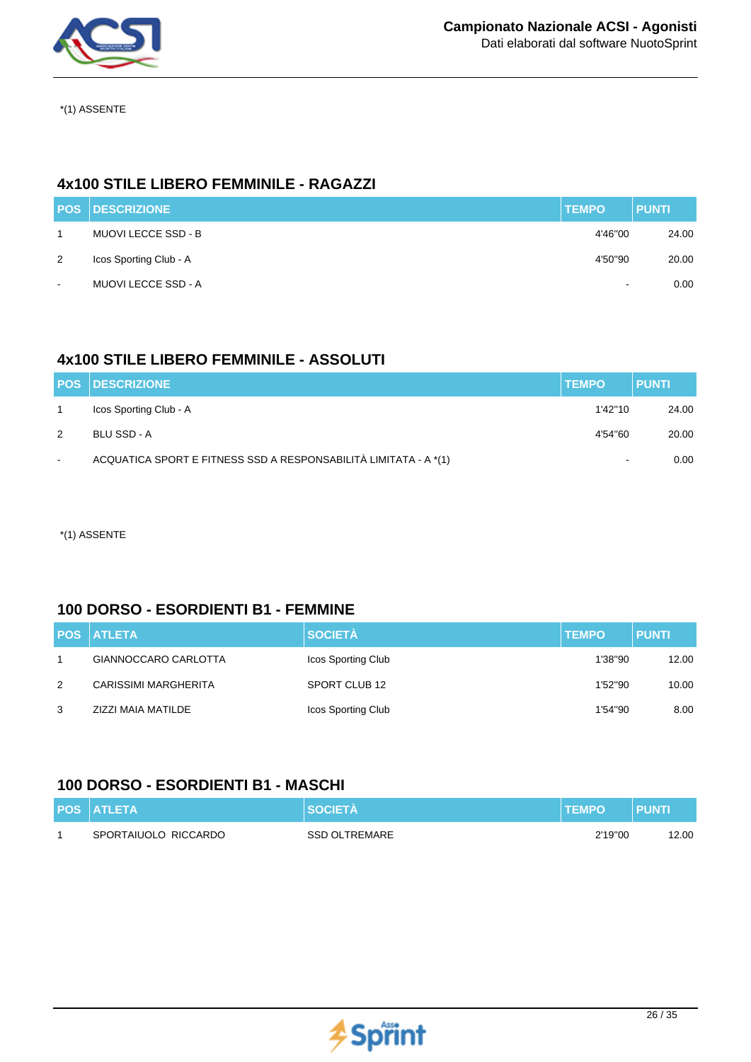

\*(1) ASSENTE

## **4x100 STILE LIBERO FEMMINILE - RAGAZZI**

|                | <b>POS DESCRIZIONE</b>     | <b>TEMPO</b>   | <b>PUNTI</b> |
|----------------|----------------------------|----------------|--------------|
|                | <b>MUOVI LECCE SSD - B</b> | 4'46"00        | 24.00        |
| 2              | Icos Sporting Club - A     | 4'50"90        | 20.00        |
| $\blacksquare$ | <b>MUOVI LECCE SSD - A</b> | $\blacksquare$ | 0.00         |

## **4x100 STILE LIBERO FEMMINILE - ASSOLUTI**

|               | <b>POS DESCRIZIONE</b>                                           | <b>TEMPO</b>   | <b>PUNTI</b> |
|---------------|------------------------------------------------------------------|----------------|--------------|
|               | Icos Sporting Club - A                                           | 1'42''10       | 24.00        |
| $\mathcal{P}$ | BLU SSD - A                                                      | 4'54"60        | 20.00        |
| $\sim$        | ACQUATICA SPORT E FITNESS SSD A RESPONSABILITÀ LIMITATA - A *(1) | $\blacksquare$ | 0.00         |

\*(1) ASSENTE

#### **100 DORSO - ESORDIENTI B1 - FEMMINE**

|                | <b>POS ATLETA</b>    | <b>SOCIETÀ</b>     | <b>TEMPO</b> | <b>PUNTI</b> |
|----------------|----------------------|--------------------|--------------|--------------|
| 1              | GIANNOCCARO CARLOTTA | Icos Sporting Club | 1'38"90      | 12.00        |
| $\overline{2}$ | CARISSIMI MARGHERITA | SPORT CLUB 12      | 1'52"90      | 10.00        |
| 3              | ZIZZI MAIA MATILDE   | Icos Sporting Club | 1'54"90      | 8.00         |

## **100 DORSO - ESORDIENTI B1 - MASCHI**

| <b>POS ATLETA</b>    | <b>SOCIETA</b>       | <b>TEMPO</b> | <b>PUNT</b> |
|----------------------|----------------------|--------------|-------------|
| SPORTAIUOLO RICCARDO | <b>SSD OLTREMARE</b> | 2'19"00      | 12.00       |

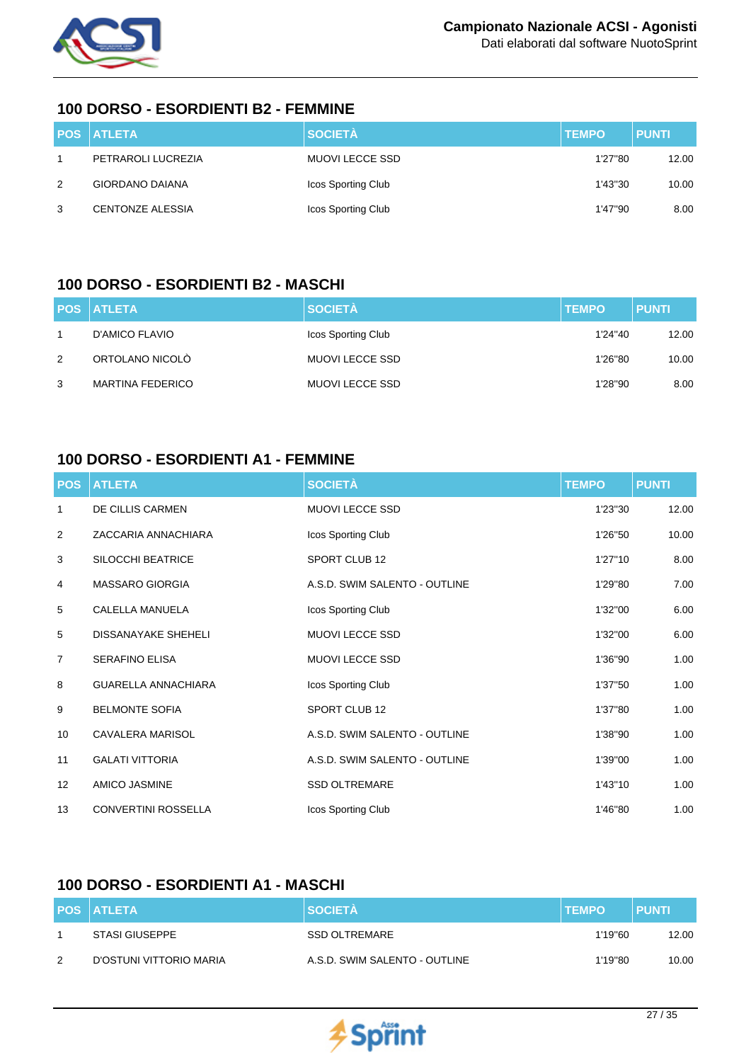

#### **100 DORSO - ESORDIENTI B2 - FEMMINE**

|   | <b>POS ATLETA</b>       | <b>SOCIETÀ</b>     | <b>TEMPO</b> | <b>PUNTI</b> |
|---|-------------------------|--------------------|--------------|--------------|
|   | PETRAROLI LUCREZIA      | MUOVI LECCE SSD    | 1'27"80      | 12.00        |
| 2 | <b>GIORDANO DAIANA</b>  | Icos Sporting Club | 1'43"30      | 10.00        |
| 3 | <b>CENTONZE ALESSIA</b> | Icos Sporting Club | 1'47"90      | 8.00         |

#### **100 DORSO - ESORDIENTI B2 - MASCHI**

|               | <b>POS ATLETA</b>       | <b>SOCIETÀ</b>         | <b>TEMPO</b> | <b>PUNTI</b> |
|---------------|-------------------------|------------------------|--------------|--------------|
|               | D'AMICO FLAVIO          | Icos Sporting Club     | 1'24"40      | 12.00        |
| $\mathcal{P}$ | ORTOLANO NICOLÒ         | <b>MUOVI LECCE SSD</b> | 1'26"80      | 10.00        |
| 3             | <b>MARTINA FEDERICO</b> | MUOVI LECCE SSD        | 1'28"90      | 8.00         |

#### **100 DORSO - ESORDIENTI A1 - FEMMINE**

| <b>POS</b>        | <b>ATLETA</b>              | <b>SOCIETÀ</b>                | <b>TEMPO</b> | <b>PUNTI</b> |
|-------------------|----------------------------|-------------------------------|--------------|--------------|
| 1                 | DE CILLIS CARMEN           | <b>MUOVI LECCE SSD</b>        | 1'23"30      | 12.00        |
| 2                 | ZACCARIA ANNACHIARA        | Icos Sporting Club            | 1'26"50      | 10.00        |
| 3                 | SILOCCHI BEATRICE          | SPORT CLUB 12                 | 1'27"10      | 8.00         |
| 4                 | <b>MASSARO GIORGIA</b>     | A.S.D. SWIM SALENTO - OUTLINE | 1'29"80      | 7.00         |
| 5                 | CALELLA MANUELA            | Icos Sporting Club            | 1'32"00      | 6.00         |
| 5                 | <b>DISSANAYAKE SHEHELI</b> | <b>MUOVI LECCE SSD</b>        | 1'32"00      | 6.00         |
| $\overline{7}$    | <b>SERAFINO ELISA</b>      | <b>MUOVI LECCE SSD</b>        | 1'36"90      | 1.00         |
| 8                 | <b>GUARELLA ANNACHIARA</b> | Icos Sporting Club            | 1'37"50      | 1.00         |
| 9                 | <b>BELMONTE SOFIA</b>      | SPORT CLUB 12                 | 1'37"80      | 1.00         |
| 10                | CAVALERA MARISOL           | A.S.D. SWIM SALENTO - OUTLINE | 1'38"90      | 1.00         |
| 11                | <b>GALATI VITTORIA</b>     | A.S.D. SWIM SALENTO - OUTLINE | 1'39"00      | 1.00         |
| $12 \overline{ }$ | AMICO JASMINE              | <b>SSD OLTREMARE</b>          | 1'43"10      | 1.00         |
| 13                | <b>CONVERTINI ROSSELLA</b> | Icos Sporting Club            | 1'46"80      | 1.00         |

## **100 DORSO - ESORDIENTI A1 - MASCHI**

|   | <b>POS ATLETA</b>       | <b>SOCIETA</b>                | <b>TEMPO</b> | <b>PUNT</b> |
|---|-------------------------|-------------------------------|--------------|-------------|
|   | STASI GIUSEPPE          | <b>SSD OLTREMARE</b>          | 1'19"60      | 12.00       |
| 2 | D'OSTUNI VITTORIO MARIA | A.S.D. SWIM SALENTO - OUTLINE | 1'19"80      | 10.00       |

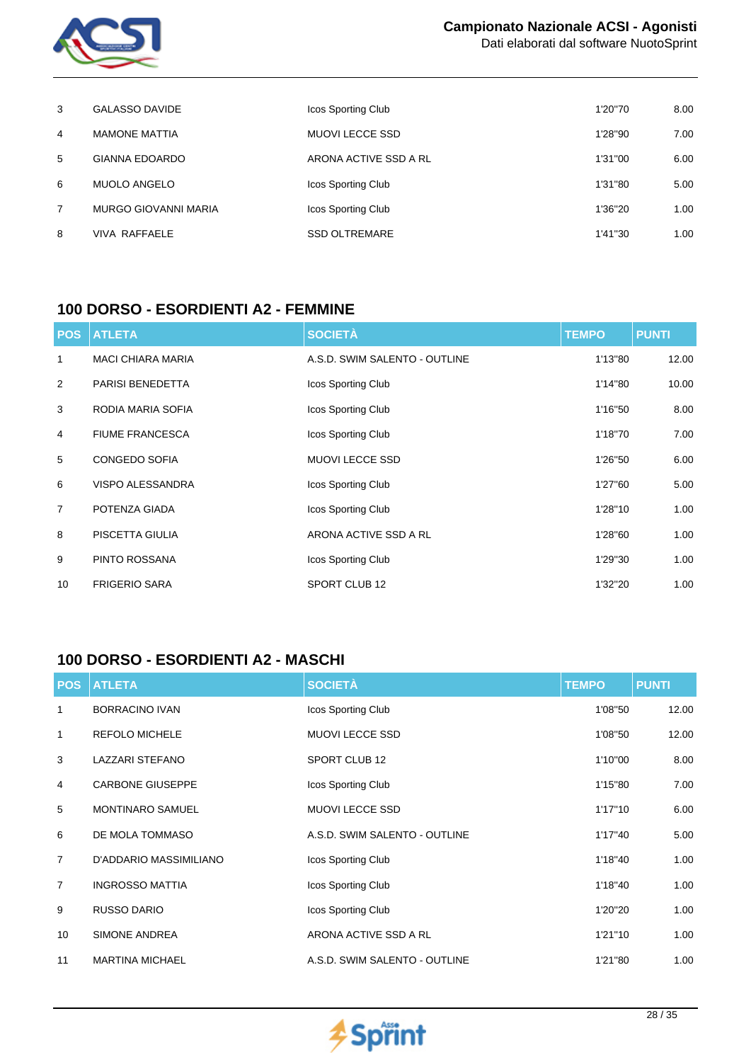

Dati elaborati dal software NuotoSprint

| 3 | <b>GALASSO DAVIDE</b>       | Icos Sporting Club     | 1'20"70 | 8.00 |
|---|-----------------------------|------------------------|---------|------|
| 4 | <b>MAMONE MATTIA</b>        | <b>MUOVI LECCE SSD</b> | 1'28"90 | 7.00 |
| 5 | <b>GIANNA EDOARDO</b>       | ARONA ACTIVE SSD A RL  | 1'31"00 | 6.00 |
| 6 | <b>MUOLO ANGELO</b>         | Icos Sporting Club     | 1'31"80 | 5.00 |
| 7 | <b>MURGO GIOVANNI MARIA</b> | Icos Sporting Club     | 1'36"20 | 1.00 |
| 8 | VIVA RAFFAELE               | <b>SSD OLTREMARE</b>   | 1'41"30 | 1.00 |

#### **100 DORSO - ESORDIENTI A2 - FEMMINE**

| <b>POS</b>      | <b>ATLETA</b>            | <b>SOCIETÀ</b>                | <b>TEMPO</b> | <b>PUNTI</b> |
|-----------------|--------------------------|-------------------------------|--------------|--------------|
| 1               | <b>MACI CHIARA MARIA</b> | A.S.D. SWIM SALENTO - OUTLINE | 1'13"80      | 12.00        |
| 2               | PARISI BENEDETTA         | Icos Sporting Club            | 1'14"80      | 10.00        |
| 3               | RODIA MARIA SOFIA        | Icos Sporting Club            | 1'16"50      | 8.00         |
| 4               | <b>FIUME FRANCESCA</b>   | Icos Sporting Club            | 1'18"70      | 7.00         |
| 5               | CONGEDO SOFIA            | <b>MUOVI LECCE SSD</b>        | 1'26"50      | 6.00         |
| 6               | <b>VISPO ALESSANDRA</b>  | Icos Sporting Club            | 1'27"60      | 5.00         |
| $\overline{7}$  | POTENZA GIADA            | Icos Sporting Club            | 1'28"10      | 1.00         |
| 8               | PISCETTA GIULIA          | ARONA ACTIVE SSD A RL         | 1'28"60      | 1.00         |
| 9               | PINTO ROSSANA            | Icos Sporting Club            | 1'29"30      | 1.00         |
| 10 <sup>1</sup> | <b>FRIGERIO SARA</b>     | SPORT CLUB 12                 | 1'32"20      | 1.00         |

# **100 DORSO - ESORDIENTI A2 - MASCHI**

| <b>POS</b>     | <b>ATLETA</b>           | <b>SOCIETÀ</b>                | <b>TEMPO</b> | <b>PUNTI</b> |
|----------------|-------------------------|-------------------------------|--------------|--------------|
| 1              | <b>BORRACINO IVAN</b>   | Icos Sporting Club            | 1'08"50      | 12.00        |
| 1              | <b>REFOLO MICHELE</b>   | MUOVI LECCE SSD               | 1'08"50      | 12.00        |
| 3              | <b>LAZZARI STEFANO</b>  | SPORT CLUB 12                 | 1'10"00      | 8.00         |
| 4              | <b>CARBONE GIUSEPPE</b> | Icos Sporting Club            | 1'15"80      | 7.00         |
| 5              | <b>MONTINARO SAMUEL</b> | MUOVI LECCE SSD               | 1'17"10      | 6.00         |
| 6              | DE MOLA TOMMASO         | A.S.D. SWIM SALENTO - OUTLINE | 1'17"40      | 5.00         |
| $\overline{7}$ | D'ADDARIO MASSIMILIANO  | Icos Sporting Club            | 1'18"40      | 1.00         |
| $\overline{7}$ | <b>INGROSSO MATTIA</b>  | Icos Sporting Club            | 1'18"40      | 1.00         |
| 9              | <b>RUSSO DARIO</b>      | Icos Sporting Club            | 1'20"20      | 1.00         |
| 10             | <b>SIMONE ANDREA</b>    | ARONA ACTIVE SSD A RL         | 1'21"10      | 1.00         |
| 11             | <b>MARTINA MICHAEL</b>  | A.S.D. SWIM SALENTO - OUTLINE | 1'21"80      | 1.00         |

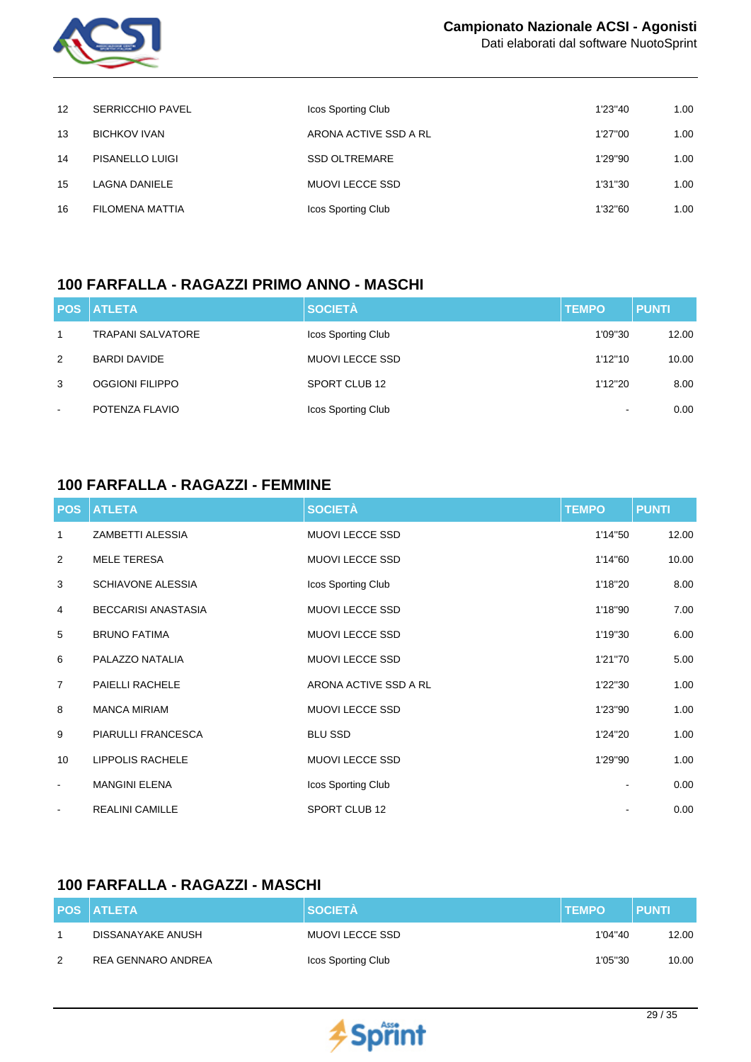

Dati elaborati dal software NuotoSprint

| $12 \overline{ }$ | <b>SERRICCHIO PAVEL</b> | Icos Sporting Club    | 1'23"40 | 1.00 |
|-------------------|-------------------------|-----------------------|---------|------|
| 13                | <b>BICHKOV IVAN</b>     | ARONA ACTIVE SSD A RL | 1'27"00 | 1.00 |
| 14                | <b>PISANELLO LUIGI</b>  | <b>SSD OLTREMARE</b>  | 1'29"90 | 1.00 |
| 15                | LAGNA DANIELE           | MUOVI LECCE SSD       | 1'31"30 | 1.00 |
| 16                | FILOMENA MATTIA         | Icos Sporting Club    | 1'32"60 | 1.00 |

#### **100 FARFALLA - RAGAZZI PRIMO ANNO - MASCHI**

|        | <b>POS ATLETA</b>        | <b>SOCIETÀ</b>         | <b>TEMPO</b>             | <b>PUNTI</b> |
|--------|--------------------------|------------------------|--------------------------|--------------|
| 1      | <b>TRAPANI SALVATORE</b> | Icos Sporting Club     | 1'09"30                  | 12.00        |
| 2      | BARDI DAVIDE             | <b>MUOVI LECCE SSD</b> | 1'12"10                  | 10.00        |
| 3      | <b>OGGIONI FILIPPO</b>   | SPORT CLUB 12          | 1'12"20                  | 8.00         |
| $\sim$ | POTENZA FLAVIO           | Icos Sporting Club     | $\overline{\phantom{a}}$ | 0.00         |

## **100 FARFALLA - RAGAZZI - FEMMINE**

| <b>POS</b>     | <b>ATLETA</b>              | <b>SOCIETÀ</b>         | <b>TEMPO</b> | <b>PUNTI</b> |
|----------------|----------------------------|------------------------|--------------|--------------|
| 1              | ZAMBETTI ALESSIA           | <b>MUOVI LECCE SSD</b> | 1'14"50      | 12.00        |
| 2              | <b>MELE TERESA</b>         | <b>MUOVI LECCE SSD</b> | 1'14"60      | 10.00        |
| 3              | <b>SCHIAVONE ALESSIA</b>   | Icos Sporting Club     | 1'18"20      | 8.00         |
| 4              | <b>BECCARISI ANASTASIA</b> | <b>MUOVI LECCE SSD</b> | 1'18"90      | 7.00         |
| 5              | <b>BRUNO FATIMA</b>        | <b>MUOVI LECCE SSD</b> | 1'19"30      | 6.00         |
| 6              | PALAZZO NATALIA            | <b>MUOVI LECCE SSD</b> | 1'21"70      | 5.00         |
| $\overline{7}$ | PAIELLI RACHELE            | ARONA ACTIVE SSD A RL  | 1'22"30      | 1.00         |
| 8              | <b>MANCA MIRIAM</b>        | <b>MUOVI LECCE SSD</b> | 1'23"90      | 1.00         |
| 9              | PIARULLI FRANCESCA         | <b>BLU SSD</b>         | 1'24"20      | 1.00         |
| 10             | <b>LIPPOLIS RACHELE</b>    | <b>MUOVI LECCE SSD</b> | 1'29"90      | 1.00         |
| $\blacksquare$ | <b>MANGINI ELENA</b>       | Icos Sporting Club     |              | 0.00         |
| $\blacksquare$ | <b>REALINI CAMILLE</b>     | SPORT CLUB 12          |              | 0.00         |

# **100 FARFALLA - RAGAZZI - MASCHI**

|   | <b>POS ATLETA</b>  | <b>SOCIETA</b>         | <b>TEMPO</b> | <b>PUNTI</b> |
|---|--------------------|------------------------|--------------|--------------|
|   | DISSANAYAKE ANUSH  | <b>MUOVI LECCE SSD</b> | 1'04"40      | 12.00        |
| 2 | REA GENNARO ANDREA | Icos Sporting Club     | 1'05"30      | 10.00        |

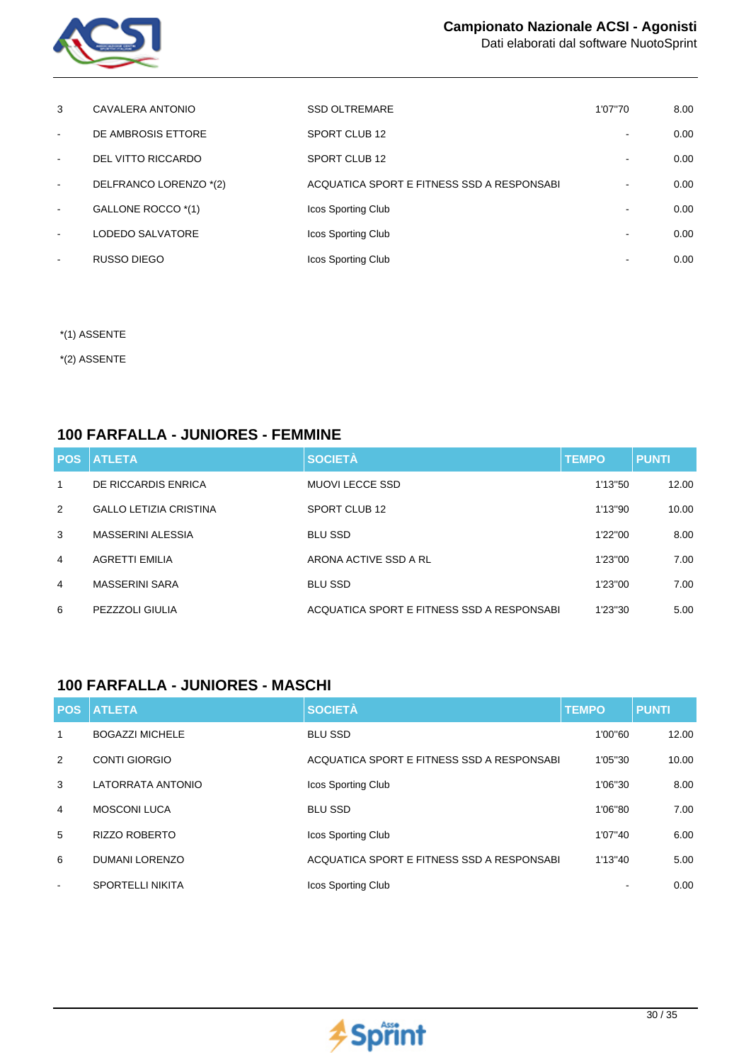

| 3              | CAVALERA ANTONIO       | <b>SSD OLTREMARE</b>                       | 1'07"70 | 8.00 |
|----------------|------------------------|--------------------------------------------|---------|------|
| $\sim$         | DE AMBROSIS ETTORE     | SPORT CLUB 12                              |         | 0.00 |
| $\sim$         | DEL VITTO RICCARDO     | SPORT CLUB 12                              |         | 0.00 |
| $\sim$         | DELFRANCO LORENZO *(2) | ACQUATICA SPORT E FITNESS SSD A RESPONSABI |         | 0.00 |
| $\sim$         | GALLONE ROCCO *(1)     | Icos Sporting Club                         |         | 0.00 |
| $\sim$         | LODEDO SALVATORE       | Icos Sporting Club                         |         | 0.00 |
| $\blacksquare$ | RUSSO DIEGO            | <b>Icos Sporting Club</b>                  |         | 0.00 |

- \*(1) ASSENTE
- \*(2) ASSENTE

#### **100 FARFALLA - JUNIORES - FEMMINE**

| <b>POS</b>   | <b>ATLETA</b>                 | <b>SOCIETÀ</b>                             | <b>TEMPO</b> | <b>PUNTI</b> |
|--------------|-------------------------------|--------------------------------------------|--------------|--------------|
| $\mathbf{1}$ | DE RICCARDIS ENRICA           | MUOVI LECCE SSD                            | 1'13"50      | 12.00        |
| 2            | <b>GALLO LETIZIA CRISTINA</b> | SPORT CLUB 12                              | 1'13"90      | 10.00        |
| 3            | MASSERINI ALESSIA             | <b>BLU SSD</b>                             | 1'22"00      | 8.00         |
| 4            | <b>AGRETTI EMILIA</b>         | ARONA ACTIVE SSD A RL                      | 1'23"00      | 7.00         |
| 4            | <b>MASSERINI SARA</b>         | <b>BLU SSD</b>                             | 1'23"00      | 7.00         |
| 6            | PEZZZOLI GIULIA               | ACQUATICA SPORT E FITNESS SSD A RESPONSABI | 1'23"30      | 5.00         |

# **100 FARFALLA - JUNIORES - MASCHI**

| <b>POS</b>     | <b>ATLETA</b>           | <b>SOCIETÀ</b>                             | <b>TEMPO</b> | <b>PUNTI</b> |
|----------------|-------------------------|--------------------------------------------|--------------|--------------|
| 1              | <b>BOGAZZI MICHELE</b>  | <b>BLU SSD</b>                             | 1'00"60      | 12.00        |
| 2              | <b>CONTI GIORGIO</b>    | ACQUATICA SPORT E FITNESS SSD A RESPONSABI | 1'05"30      | 10.00        |
| 3              | LATORRATA ANTONIO       | Icos Sporting Club                         | 1'06"30      | 8.00         |
| $\overline{4}$ | <b>MOSCONI LUCA</b>     | <b>BLU SSD</b>                             | 1'06"80      | 7.00         |
| 5              | <b>RIZZO ROBERTO</b>    | Icos Sporting Club                         | 1'07"40      | 6.00         |
| 6              | <b>DUMANI LORENZO</b>   | ACQUATICA SPORT E FITNESS SSD A RESPONSABI | 1'13"40      | 5.00         |
| $\sim$         | <b>SPORTELLI NIKITA</b> | Icos Sporting Club                         |              | 0.00         |

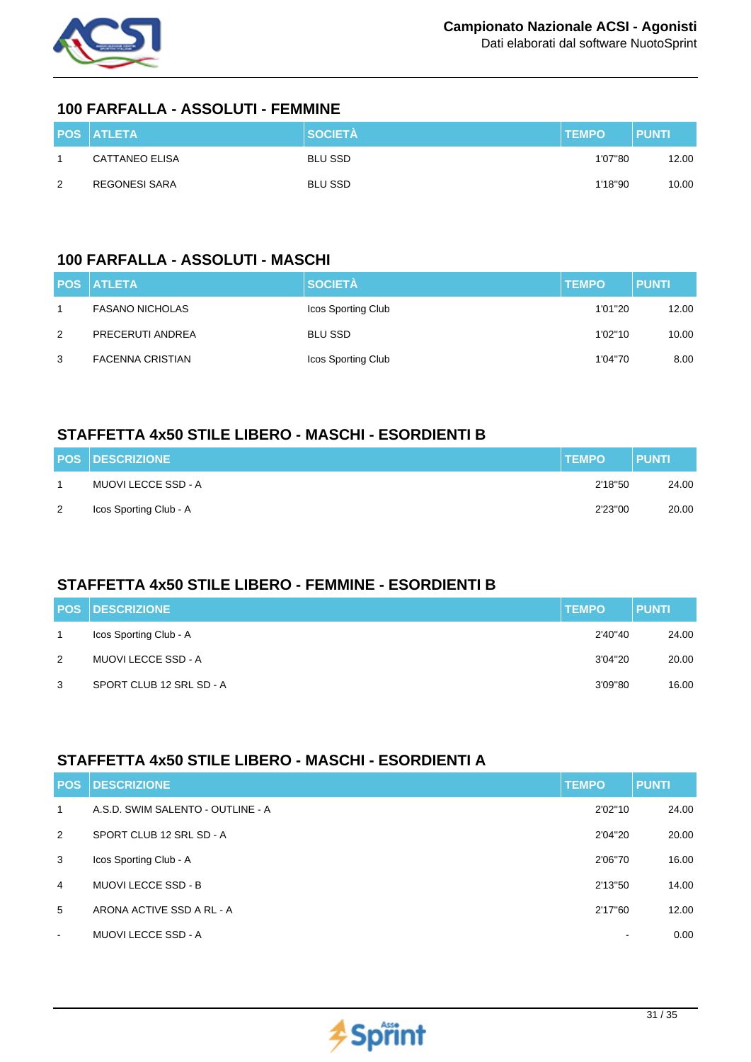

#### **100 FARFALLA - ASSOLUTI - FEMMINE**

|   | <b>POS ATLETA</b> | <b>SOCIETÀ</b> | <b>TEMPO</b> | <b>PUNTI</b> |
|---|-------------------|----------------|--------------|--------------|
|   | CATTANEO ELISA    | <b>BLU SSD</b> | 1'07"80      | 12.00        |
| 2 | REGONESI SARA     | <b>BLU SSD</b> | 1'18"90      | 10.00        |

## **100 FARFALLA - ASSOLUTI - MASCHI**

|   | <b>POS ATLETA</b>       | <b>SOCIETÀ</b>     | <b>TEMPO</b> | <b>PUNTI</b> |
|---|-------------------------|--------------------|--------------|--------------|
|   | <b>FASANO NICHOLAS</b>  | Icos Sporting Club | 1'01"20      | 12.00        |
| 2 | PRECERUTI ANDREA        | BLU SSD            | 1'02"10      | 10.00        |
| 3 | <b>FACENNA CRISTIAN</b> | Icos Sporting Club | 1'04"70      | 8.00         |

## **STAFFETTA 4x50 STILE LIBERO - MASCHI - ESORDIENTI B**

|   | <b>POS DESCRIZIONE</b> | <b>TEMPO</b> | <b>PUNTI</b> |
|---|------------------------|--------------|--------------|
|   | MUOVI LECCE SSD - A    | 2'18"50      | 24.00        |
| 2 | Icos Sporting Club - A | 2'23"00      | 20.00        |

## **STAFFETTA 4x50 STILE LIBERO - FEMMINE - ESORDIENTI B**

|   | <b>POS DESCRIZIONE</b>   | <b>TEMPO</b> | <b>PUNTI</b> |
|---|--------------------------|--------------|--------------|
|   | Icos Sporting Club - A   | 2'40"40      | 24.00        |
| 2 | MUOVI LECCE SSD - A      | 3'04"20      | 20.00        |
| 3 | SPORT CLUB 12 SRL SD - A | 3'09"80      | 16.00        |

## **STAFFETTA 4x50 STILE LIBERO - MASCHI - ESORDIENTI A**

| <b>POS</b>     | <b>DESCRIZIONE</b>                | <b>TEMPO</b>             | <b>PUNTI</b> |
|----------------|-----------------------------------|--------------------------|--------------|
| $\mathbf{1}$   | A.S.D. SWIM SALENTO - OUTLINE - A | 2'02"10                  | 24.00        |
| 2              | SPORT CLUB 12 SRL SD - A          | 2'04"20                  | 20.00        |
| 3              | Icos Sporting Club - A            | 2'06"70                  | 16.00        |
| $\overline{4}$ | <b>MUOVI LECCE SSD - B</b>        | 2'13"50                  | 14.00        |
| 5              | ARONA ACTIVE SSD A RL - A         | 2'17"60                  | 12.00        |
| $\sim$         | <b>MUOVI LECCE SSD - A</b>        | $\overline{\phantom{0}}$ | 0.00         |

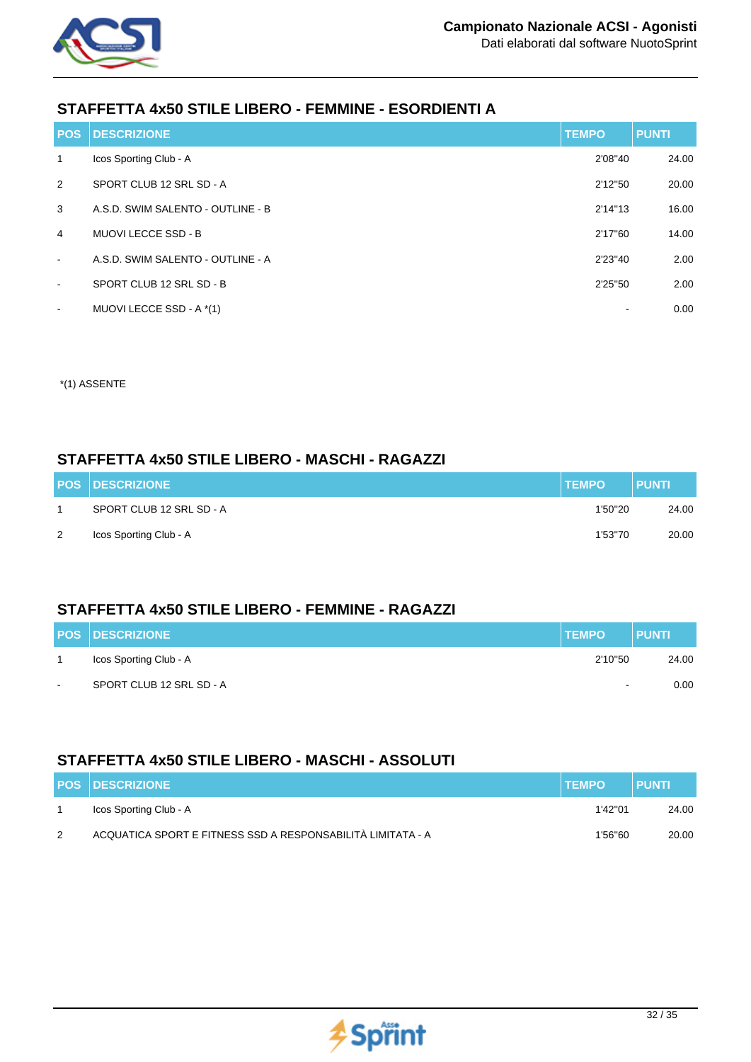

# **STAFFETTA 4x50 STILE LIBERO - FEMMINE - ESORDIENTI A**

| <b>POS</b>               | <b>DESCRIZIONE</b>                | <b>TEMPO</b> | <b>PUNTI</b> |
|--------------------------|-----------------------------------|--------------|--------------|
| $\mathbf{1}$             | Icos Sporting Club - A            | 2'08"40      | 24.00        |
| 2                        | SPORT CLUB 12 SRL SD - A          | 2'12"50      | 20.00        |
| 3                        | A.S.D. SWIM SALENTO - OUTLINE - B | 2'14"13      | 16.00        |
| $\overline{4}$           | <b>MUOVI LECCE SSD - B</b>        | 2'17"60      | 14.00        |
| $\sim$                   | A.S.D. SWIM SALENTO - OUTLINE - A | 2'23"40      | 2.00         |
| $\overline{\phantom{a}}$ | SPORT CLUB 12 SRL SD - B          | 2'25"50      | 2.00         |
| $\overline{\phantom{a}}$ | MUOVI LECCE SSD - A *(1)          |              | 0.00         |

\*(1) ASSENTE

#### **STAFFETTA 4x50 STILE LIBERO - MASCHI - RAGAZZI**

|   | <b>POS DESCRIZIONE</b>   | <b>TEMPO</b> | <b>PUNTI</b> |
|---|--------------------------|--------------|--------------|
|   | SPORT CLUB 12 SRL SD - A | 1'50"20      | 24.00        |
| 2 | Icos Sporting Club - A   | 1'53"70      | 20.00        |

## **STAFFETTA 4x50 STILE LIBERO - FEMMINE - RAGAZZI**

|        | <b>POS DESCRIZIONE</b>   | <b>TEMPO</b> | <b>PUNTI</b> |
|--------|--------------------------|--------------|--------------|
|        | Icos Sporting Club - A   | 2'10"50      | 24.00        |
| $\sim$ | SPORT CLUB 12 SRL SD - A | $\sim$       | $0.00 -$     |

#### **STAFFETTA 4x50 STILE LIBERO - MASCHI - ASSOLUTI**

|   | <b>POS DESCRIZIONE</b>                                      | <b>TEMPO</b> | <b>PUNTI</b> |
|---|-------------------------------------------------------------|--------------|--------------|
|   | Icos Sporting Club - A                                      | 1'42"01      | 24.00        |
| 2 | ACQUATICA SPORT E FITNESS SSD A RESPONSABILITÀ LIMITATA - A | 1'56"60      | 20.00        |

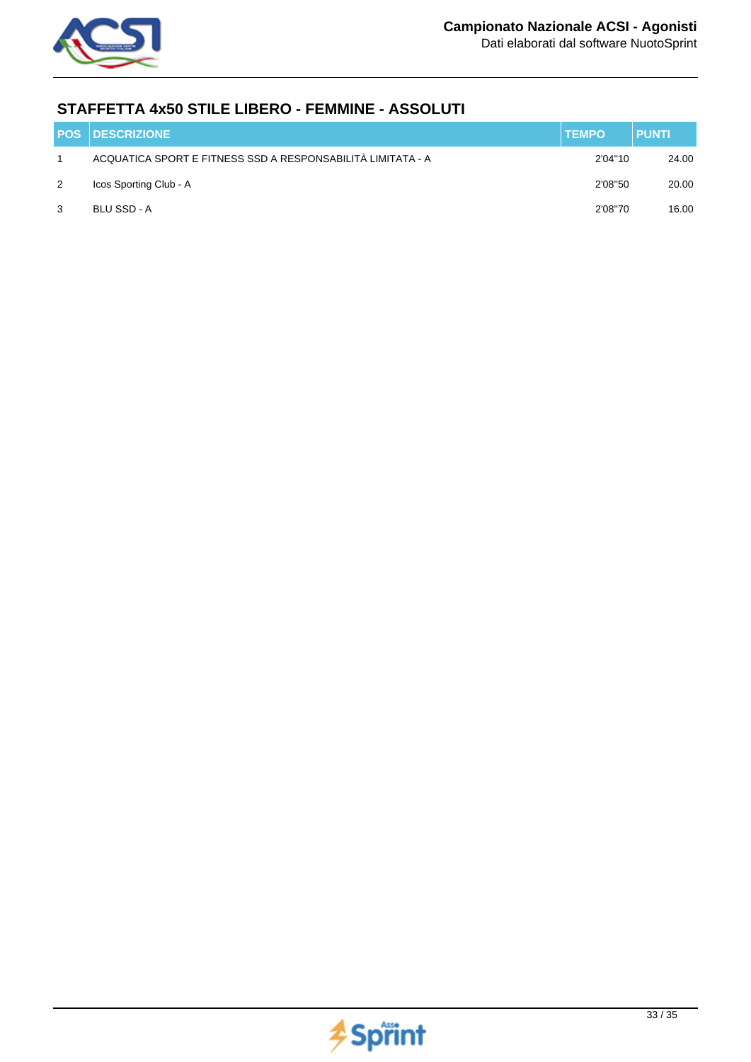

## **STAFFETTA 4x50 STILE LIBERO - FEMMINE - ASSOLUTI**

|   | <b>POS DESCRIZIONE</b>                                      | <b>TEMPO</b> | <b>PUNTI</b> |
|---|-------------------------------------------------------------|--------------|--------------|
|   | ACQUATICA SPORT E FITNESS SSD A RESPONSABILITÀ LIMITATA - A | 2'04"10      | 24.00        |
| 2 | Icos Sporting Club - A                                      | 2'08"50      | 20.00        |
| 3 | BLU SSD - A                                                 | 2'08"70      | 16.00        |

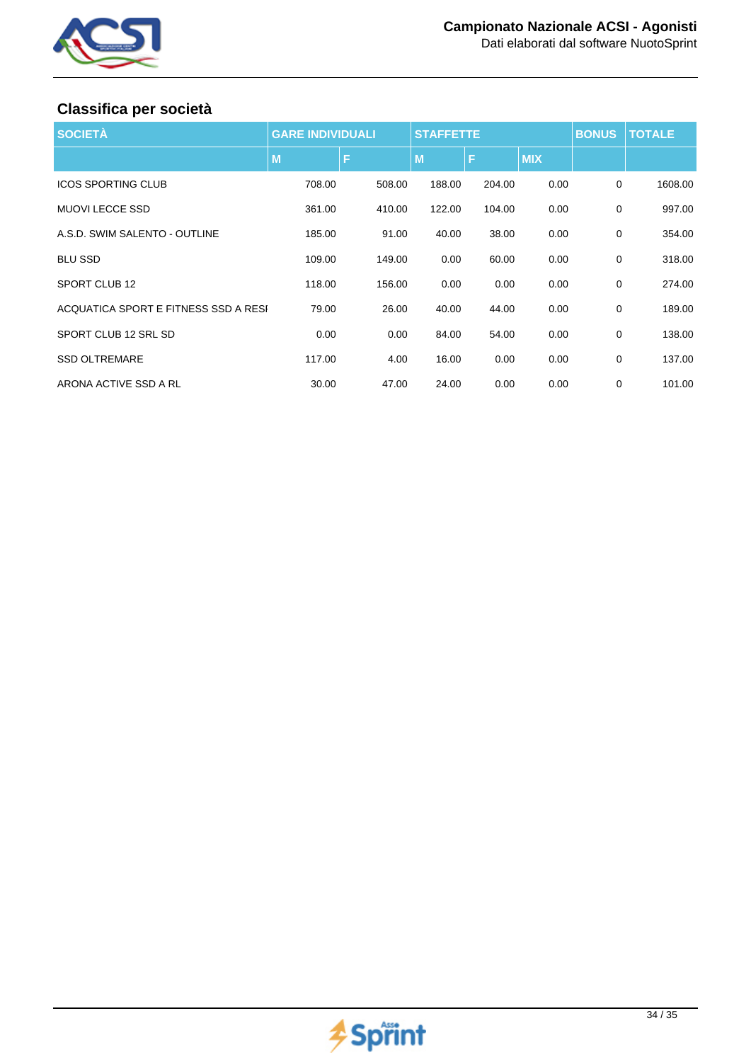

# **Classifica per società**

| <b>SOCIETÀ</b>                       | <b>GARE INDIVIDUALI</b> |        | <b>STAFFETTE</b> |        |            | <b>BONUS</b> | <b>TOTALE</b> |
|--------------------------------------|-------------------------|--------|------------------|--------|------------|--------------|---------------|
|                                      | M                       | F      | M                | ß      | <b>MIX</b> |              |               |
| <b>ICOS SPORTING CLUB</b>            | 708.00                  | 508.00 | 188.00           | 204.00 | 0.00       | $\mathbf 0$  | 1608.00       |
| <b>MUOVI LECCE SSD</b>               | 361.00                  | 410.00 | 122.00           | 104.00 | 0.00       | $\mathbf 0$  | 997.00        |
| A.S.D. SWIM SALENTO - OUTLINE        | 185.00                  | 91.00  | 40.00            | 38.00  | 0.00       | 0            | 354.00        |
| <b>BLU SSD</b>                       | 109.00                  | 149.00 | 0.00             | 60.00  | 0.00       | $\mathbf 0$  | 318.00        |
| SPORT CLUB 12                        | 118.00                  | 156.00 | 0.00             | 0.00   | 0.00       | 0            | 274.00        |
| ACQUATICA SPORT E FITNESS SSD A RESI | 79.00                   | 26.00  | 40.00            | 44.00  | 0.00       | $\mathbf 0$  | 189.00        |
| SPORT CLUB 12 SRL SD                 | 0.00                    | 0.00   | 84.00            | 54.00  | 0.00       | $\mathbf 0$  | 138.00        |
| <b>SSD OLTREMARE</b>                 | 117.00                  | 4.00   | 16.00            | 0.00   | 0.00       | $\mathbf 0$  | 137.00        |
| ARONA ACTIVE SSD A RL                | 30.00                   | 47.00  | 24.00            | 0.00   | 0.00       | 0            | 101.00        |